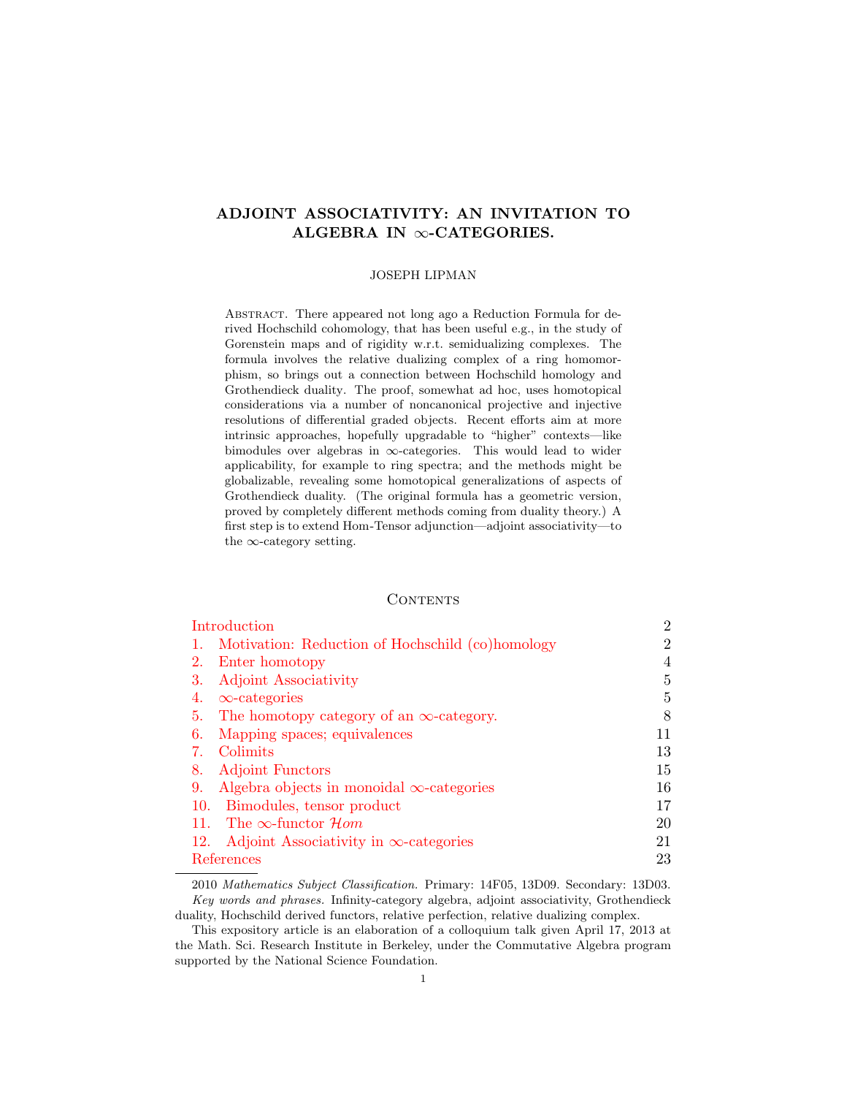# ADJOINT ASSOCIATIVITY: AN INVITATION TO ALGEBRA IN  $\infty$ -CATEGORIES.

### JOSEPH LIPMAN

Abstract. There appeared not long ago a Reduction Formula for derived Hochschild cohomology, that has been useful e.g., in the study of Gorenstein maps and of rigidity w.r.t. semidualizing complexes. The formula involves the relative dualizing complex of a ring homomorphism, so brings out a connection between Hochschild homology and Grothendieck duality. The proof, somewhat ad hoc, uses homotopical considerations via a number of noncanonical projective and injective resolutions of differential graded objects. Recent efforts aim at more intrinsic approaches, hopefully upgradable to "higher" contexts—like bimodules over algebras in ∞-categories. This would lead to wider applicability, for example to ring spectra; and the methods might be globalizable, revealing some homotopical generalizations of aspects of Grothendieck duality. (The original formula has a geometric version, proved by completely different methods coming from duality theory.) A first step is to extend Hom-Tensor adjunction—adjoint associativity—to the  $\infty$ -category setting.

# CONTENTS

| Introduction |                                                  | $\overline{2}$ |
|--------------|--------------------------------------------------|----------------|
|              | Motivation: Reduction of Hochschild (co)homology | 2              |
| 2.           | Enter homotopy                                   | 4              |
| 3.           | Adjoint Associativity                            | 5              |
| 4.           | $\infty$ -categories                             | 5              |
| 5.           | The homotopy category of an $\infty$ -category.  | 8              |
| 6.           | Mapping spaces; equivalences                     | 11             |
|              | Colimits                                         | 13             |
| 8.           | <b>Adjoint Functors</b>                          | 15             |
| 9.           | Algebra objects in monoidal $\infty$ -categories | 16             |
| 10.          | Bimodules, tensor product                        | 17             |
| 11.          | The $\infty$ -functor $\mathcal{H}$ <i>om</i>    | 20             |
| 12.          | Adjoint Associativity in $\infty$ -categories    | 21             |
| References   |                                                  | 23             |
|              |                                                  |                |

2010 Mathematics Subject Classification. Primary: 14F05, 13D09. Secondary: 13D03. Key words and phrases. Infinity-category algebra, adjoint associativity, Grothendieck duality, Hochschild derived functors, relative perfection, relative dualizing complex.

This expository article is an elaboration of a colloquium talk given April 17, 2013 at the Math. Sci. Research Institute in Berkeley, under the Commutative Algebra program supported by the National Science Foundation.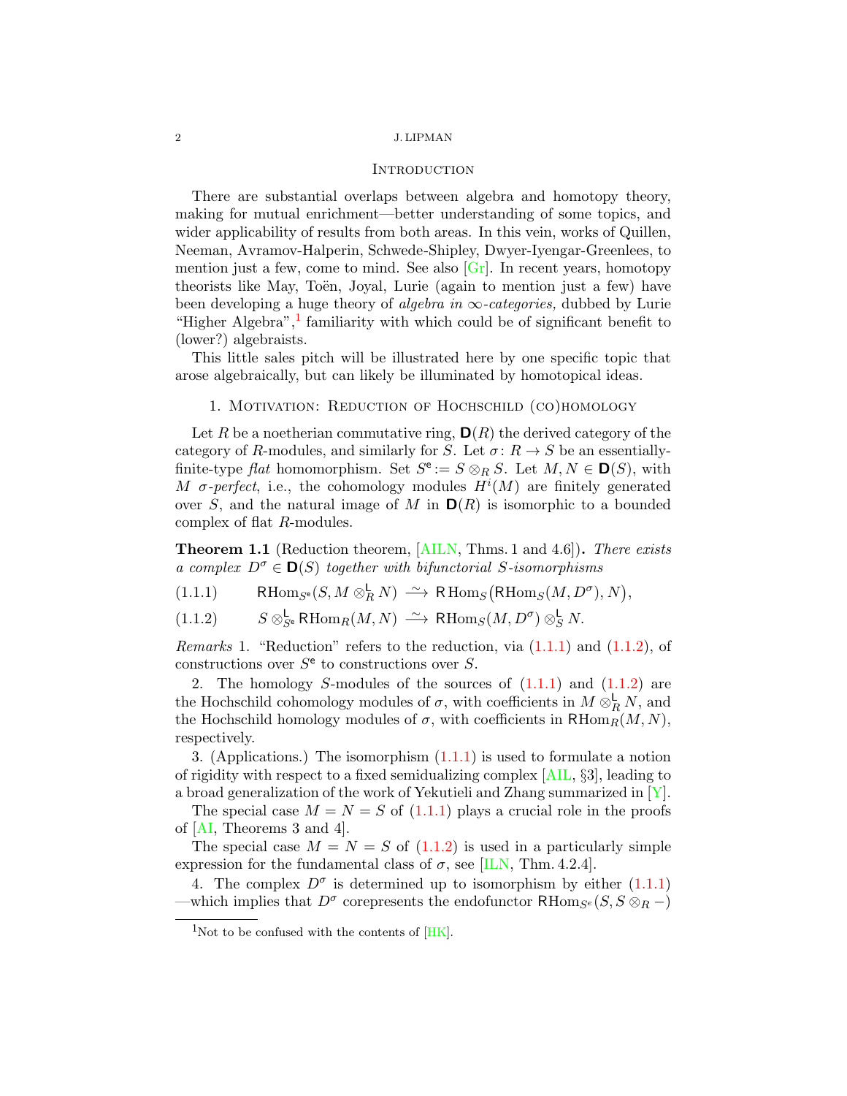## **INTRODUCTION**

<span id="page-1-6"></span><span id="page-1-0"></span>There are substantial overlaps between algebra and homotopy theory, making for mutual enrichment—better understanding of some topics, and wider applicability of results from both areas. In this vein, works of Quillen, Neeman, Avramov-Halperin, Schwede-Shipley, Dwyer-Iyengar-Greenlees, to mention just a few, come to mind. See also  $[G_r]$ . In recent years, homotopy theorists like May, Toën, Joyal, Lurie (again to mention just a few) have been developing a huge theory of *algebra in*  $\infty$ -categories, dubbed by Lurie "Higher Algebra", $\frac{1}{1}$  $\frac{1}{1}$  $\frac{1}{1}$  familiarity with which could be of significant benefit to (lower?) algebraists.

This little sales pitch will be illustrated here by one specific topic that arose algebraically, but can likely be illuminated by homotopical ideas.

1. MOTIVATION: REDUCTION OF HOCHSCHILD (CO)HOMOLOGY

<span id="page-1-1"></span>Let R be a noetherian commutative ring,  $\mathbf{D}(R)$  the derived category of the category of R-modules, and similarly for S. Let  $\sigma: R \to S$  be an essentiallyfinite-type flat homomorphism. Set  $S^e := S \otimes_R S$ . Let  $M, N \in \mathbf{D}(S)$ , with M  $\sigma$ -perfect, i.e., the cohomology modules  $H^{i}(M)$  are finitely generated over S, and the natural image of M in  $D(R)$  is isomorphic to a bounded complex of flat R-modules.

<span id="page-1-5"></span>**Theorem 1.1** (Reduction theorem, [\[AILN,](#page-22-2) Thms. 1 and 4.6]). There exists a complex  $D^{\sigma} \in \mathbf{D}(S)$  together with bifunctorial S-isomorphisms

<span id="page-1-3"></span>(1.1.1) RHom<sub>S</sub><sup>e</sup>(S, M  $\otimes_R^{\mathsf{L}} N$ )  $\xrightarrow{\sim}$  RHom<sub>S</sub>(RHom<sub>S</sub>(M, D<sup> $\sigma$ </sup>), N),

<span id="page-1-4"></span> $(S \otimes_{S^e}^{\mathsf{L}} \mathsf{R}\mathrm{Hom}_R(M,N) \longrightarrow \mathsf{R}\mathrm{Hom}_S(M,D^{\sigma}) \otimes_S^{\mathsf{L}} N.$ 

*Remarks* 1. "Reduction" refers to the reduction, via  $(1.1.1)$  and  $(1.1.2)$ , of constructions over  $S^e$  to constructions over S.

2. The homology S-modules of the sources of  $(1.1.1)$  and  $(1.1.2)$  are the Hochschild cohomology modules of  $\sigma$ , with coefficients in  $M \otimes_R^{\mathsf{L}} N$ , and the Hochschild homology modules of  $\sigma$ , with coefficients in  $R\text{Hom}_R(M, N)$ , respectively.

3. (Applications.) The isomorphism  $(1.1.1)$  is used to formulate a notion of rigidity with respect to a fixed semidualizing complex [\[AIL,](#page-22-3) §3], leading to a broad generalization of the work of Yekutieli and Zhang summarized in  $[Y]$ .

The special case  $M = N = S$  of [\(1.1.1\)](#page-1-3) plays a crucial role in the proofs of [\[AI,](#page-22-0) Theorems 3 and 4].

The special case  $M = N = S$  of  $(1.1.2)$  is used in a particularly simple expression for the fundamental class of  $\sigma$ , see [\[ILN,](#page-22-4) Thm. 4.2.4].

4. The complex  $D^{\sigma}$  is determined up to isomorphism by either  $(1.1.1)$ —which implies that  $D^{\sigma}$  corepresents the endofunctor RHom<sub>S<sup>e</sub></sup>(S, S  $\otimes_R$  –)</sub>

<span id="page-1-2"></span> $1$ Not to be confused with the contents of  $[HK]$ .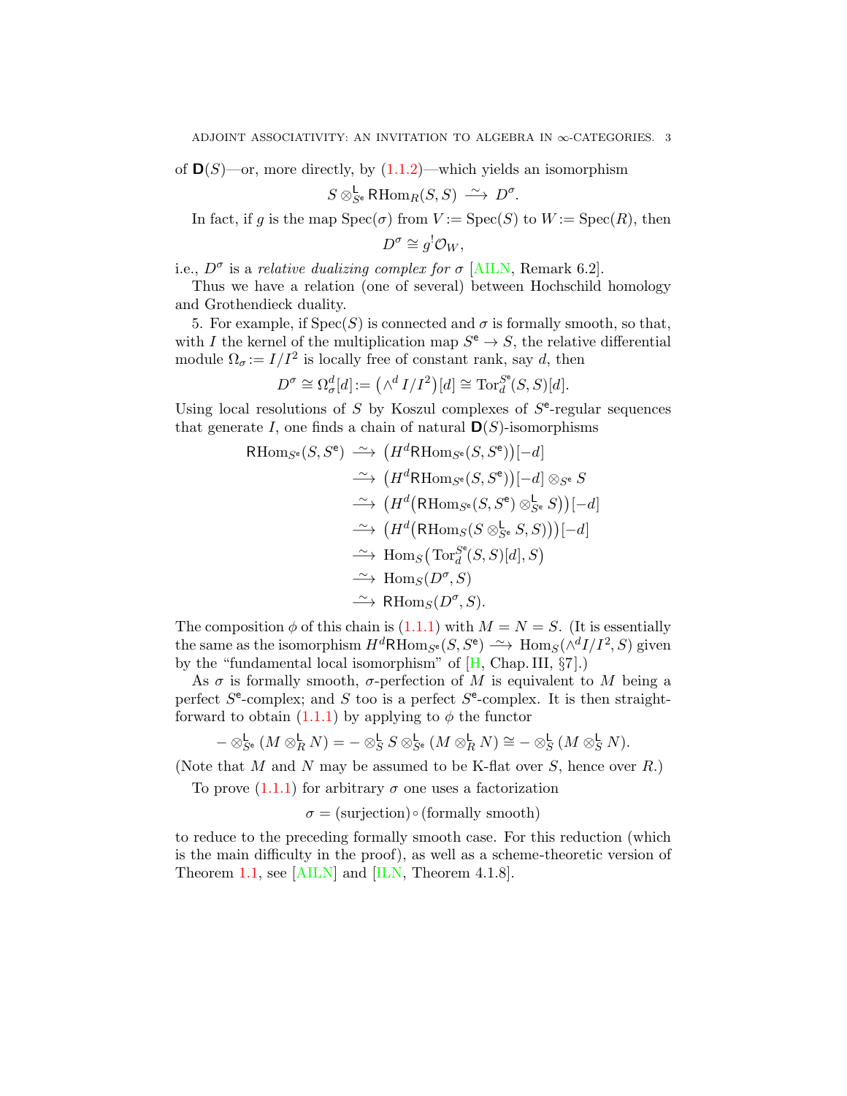<span id="page-2-0"></span>of  $\mathbf{D}(S)$ —or, more directly, by  $(1.1.2)$ —which yields an isomorphism

$$
S \otimes_{S^e}^{\mathsf{L}} \mathsf{RHom}_R(S, S) \xrightarrow{\sim} D^{\sigma}.
$$

In fact, if g is the map  $Spec(\sigma)$  from  $V := Spec(S)$  to  $W := Spec(R)$ , then

$$
D^{\sigma} \cong g^{!} \mathcal{O}_W,
$$

i.e.,  $D^{\sigma}$  is a relative dualizing complex for  $\sigma$  [\[AILN,](#page-22-2) Remark 6.2].

Thus we have a relation (one of several) between Hochschild homology and Grothendieck duality.

5. For example, if  $Spec(S)$  is connected and  $\sigma$  is formally smooth, so that, with I the kernel of the multiplication map  $S^e \to S$ , the relative differential module  $\Omega_{\sigma} := I/I^2$  is locally free of constant rank, say d, then

$$
D^{\sigma} \cong \Omega_{\sigma}^{d}[d] := (\wedge^{d} I/I^{2})[d] \cong \mathrm{Tor}_{d}^{S^{\mathbf{c}}}(S, S)[d].
$$

Using local resolutions of  $S$  by Koszul complexes of  $S<sup>e</sup>$ -regular sequences that generate I, one finds a chain of natural  $\mathbf{D}(S)$ -isomorphisms

RHom<sub>S<sup>e</sup></sub>
$$
(S, S<sup>e</sup>) \xrightarrow{\sim} (H<sup>d</sup>RHom<sub>S<sup>e</sup></sub>(S, S<sup>e</sup>))[-d]  
\n\xrightarrow{\sim} (H<sup>d</sup>RHom<sub>S<sup>e</sup></sub>(S, S<sup>e</sup>))[-d] \otimes_{S<sup>e</sup>} S  
\n\xrightarrow{\sim} (H<sup>d</sup>(RHom<sub>S<sup>e</sup></sub>(S, S<sup>e</sup>) \otimes_{S<sup>e</sup>}^L S))[-d]  
\n\xrightarrow{\sim} (H<sup>d</sup>(RHom<sub>S</sub>(S \otimes_{S<sup>e</sup> S, S)))[-d]  
\n\xrightarrow{\sim} Hom<sub>S</sub>(Tor<sub>d</sub><sup>S<sup>e</sup></sup>(S, S)[d], S)  
\n\xrightarrow{\sim} Hom<sub>S</sub>(D<sup>\sigma</sup>, S)  
\n\xrightarrow{\sim} RHom<sub>S</sub>(D<sup>\sigma</sup>, S).
$$

The composition  $\phi$  of this chain is [\(1.1.1\)](#page-1-3) with  $M = N = S$ . (It is essentially the same as the isomorphism  $H^d$ RHom<sub>S<sup>e</sub></sup>(S, S<sup>e</sup>)  $\longrightarrow$  Hom<sub>S</sub>( $\wedge$ <sup>d</sup>I/I<sup>2</sup>, S) given</sub> by the "fundamental local isomorphism" of  $[H, Chap. III, §7]$  $[H, Chap. III, §7]$ .)

As  $\sigma$  is formally smooth,  $\sigma$ -perfection of M is equivalent to M being a perfect  $S^e$ -complex; and S too is a perfect  $S^e$ -complex. It is then straightforward to obtain  $(1.1.1)$  by applying to  $\phi$  the functor

$$
-\otimes^{\mathsf{L}}_{S^{\mathsf{e}}}(M\otimes^{\mathsf{L}}_{R}N)=-\otimes^{\mathsf{L}}_{S}S\otimes^{\mathsf{L}}_{S^{\mathsf{e}}}(M\otimes^{\mathsf{L}}_{R}N)\cong-\otimes^{\mathsf{L}}_{S}(M\otimes^{\mathsf{L}}_{S}N).
$$

(Note that M and N may be assumed to be K-flat over  $S$ , hence over  $R$ .)

To prove  $(1.1.1)$  for arbitrary  $\sigma$  one uses a factorization

 $\sigma = (\text{surjection}) \circ (\text{formally smooth})$ 

to reduce to the preceding formally smooth case. For this reduction (which is the main difficulty in the proof), as well as a scheme-theoretic version of Theorem [1.1,](#page-1-5) see [\[AILN\]](#page-22-2) and [\[ILN,](#page-22-4) Theorem 4.1.8].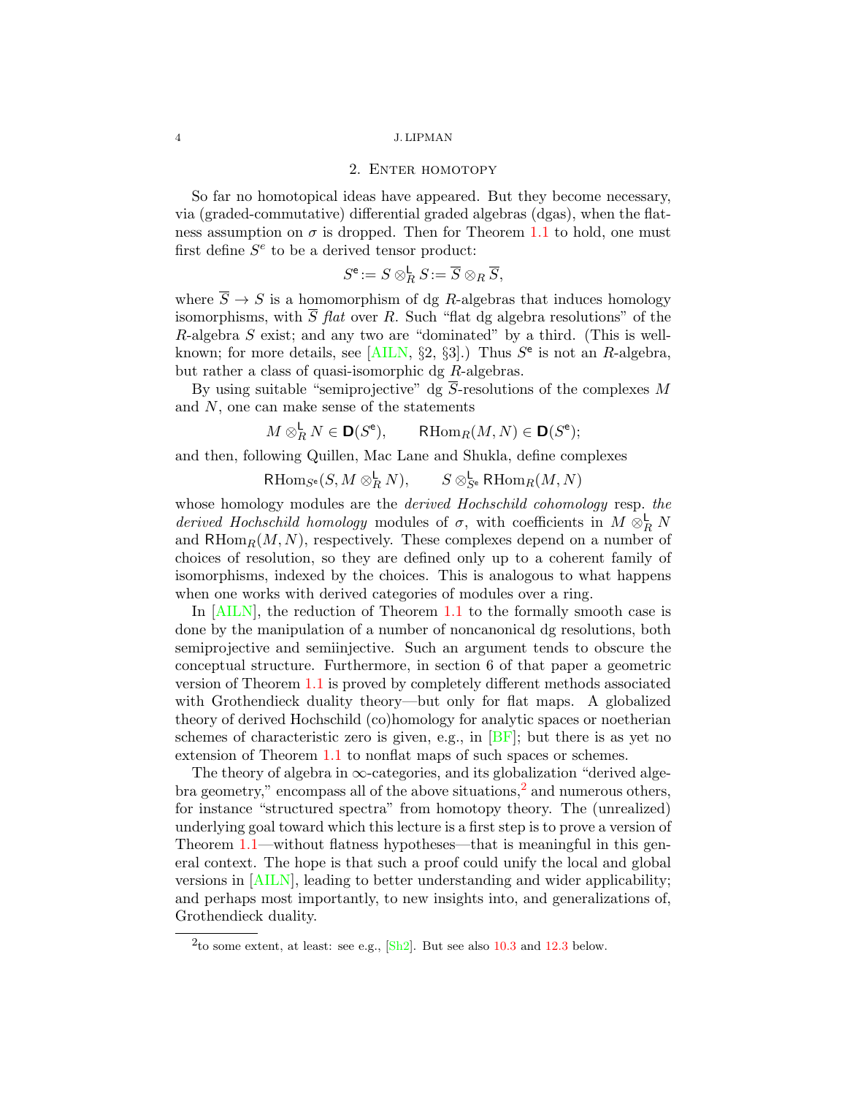## 2. ENTER HOMOTOPY

<span id="page-3-2"></span><span id="page-3-0"></span>So far no homotopical ideas have appeared. But they become necessary, via (graded-commutative) differential graded algebras (dgas), when the flatness assumption on  $\sigma$  is dropped. Then for Theorem [1.1](#page-1-5) to hold, one must first define  $S<sup>e</sup>$  to be a derived tensor product:

$$
S^{\mathsf{e}} := S \otimes_R^{\mathsf{L}} S := \overline{S} \otimes_R \overline{S},
$$

where  $\overline{S} \rightarrow S$  is a homomorphism of dg R-algebras that induces homology isomorphisms, with  $\overline{S}$  flat over R. Such "flat dg algebra resolutions" of the R-algebra S exist; and any two are "dominated" by a third. (This is well-known; for more details, see [\[AILN,](#page-22-2)  $\S2$ ,  $\S3$ ].) Thus  $S^e$  is not an R-algebra, but rather a class of quasi-isomorphic dg R-algebras.

By using suitable "semiprojective" dg  $\overline{S}$ -resolutions of the complexes M and N, one can make sense of the statements

$$
M \otimes_R^{\mathsf{L}} N \in \mathsf{D}(S^{\mathsf{e}}), \qquad \mathsf{R}\mathrm{Hom}_R(M, N) \in \mathsf{D}(S^{\mathsf{e}});
$$

and then, following Quillen, Mac Lane and Shukla, define complexes

 $\mathsf{R}\mathrm{Hom}_{S^{\mathsf{e}}}(S, M \otimes_R^{\mathsf{L}} N), \qquad S \otimes_{S^{\mathsf{e}}}^{\mathsf{L}} \mathsf{R}\mathrm{Hom}_R(M, N)$ 

whose homology modules are the *derived Hochschild cohomology* resp. the derived Hochschild homology modules of  $\sigma$ , with coefficients in  $M \otimes_R^{\mathsf{L}} N$ and  $RHom_R(M, N)$ , respectively. These complexes depend on a number of choices of resolution, so they are defined only up to a coherent family of isomorphisms, indexed by the choices. This is analogous to what happens when one works with derived categories of modules over a ring.

In [\[AILN\]](#page-22-2), the reduction of Theorem [1.1](#page-1-5) to the formally smooth case is done by the manipulation of a number of noncanonical dg resolutions, both semiprojective and semiinjective. Such an argument tends to obscure the conceptual structure. Furthermore, in section 6 of that paper a geometric version of Theorem [1.1](#page-1-5) is proved by completely different methods associated with Grothendieck duality theory—but only for flat maps. A globalized theory of derived Hochschild (co)homology for analytic spaces or noetherian schemes of characteristic zero is given, e.g., in  $[BF]$ ; but there is as yet no extension of Theorem [1.1](#page-1-5) to nonflat maps of such spaces or schemes.

The theory of algebra in  $\infty$ -categories, and its globalization "derived algebra geometry," encompass all of the above situations, $^2$  $^2$  and numerous others, for instance "structured spectra" from homotopy theory. The (unrealized) underlying goal toward which this lecture is a first step is to prove a version of Theorem [1.1—](#page-1-5)without flatness hypotheses—that is meaningful in this general context. The hope is that such a proof could unify the local and global versions in [\[AILN\]](#page-22-2), leading to better understanding and wider applicability; and perhaps most importantly, to new insights into, and generalizations of, Grothendieck duality.

<span id="page-3-1"></span><sup>&</sup>lt;sup>2</sup>to some extent, at least: see e.g.,  $\frac{|\text{Sh2}|}{\text{Sh2}}$ . But see also [10.3](#page-17-0) and [12.3](#page-20-1) below.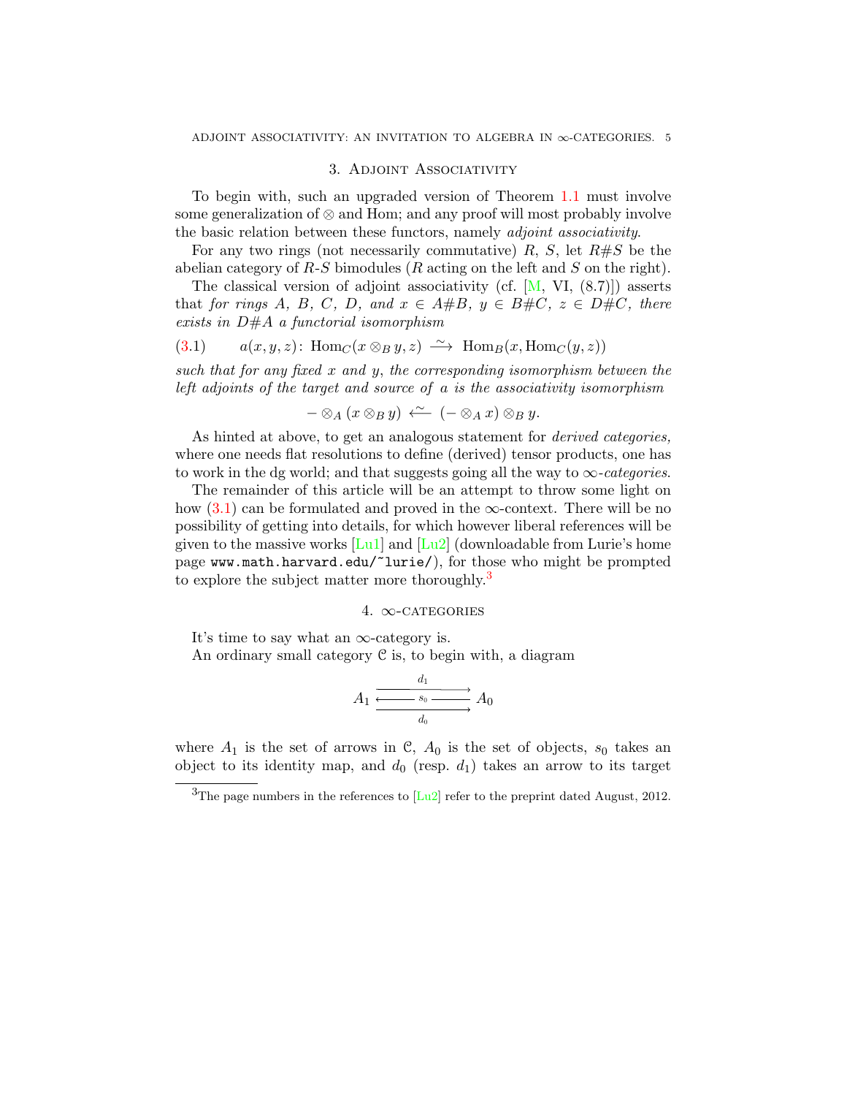# 3. ADJOINT ASSOCIATIVITY

<span id="page-4-4"></span><span id="page-4-0"></span>To begin with, such an upgraded version of Theorem [1.1](#page-1-5) must involve some generalization of  $\otimes$  and Hom; and any proof will most probably involve the basic relation between these functors, namely adjoint associativity.

For any two rings (not necessarily commutative)  $R$ ,  $S$ , let  $R \# S$  be the abelian category of  $R-S$  bimodules ( $R$  acting on the left and  $S$  on the right).

The classical version of adjoint associativity (cf.  $[M, VI, (8.7)])$  $[M, VI, (8.7)])$  asserts that for rings A, B, C, D, and  $x \in A \# B$ ,  $y \in B \# C$ ,  $z \in D \# C$ , there exists in  $D#A$  a functorial isomorphism

<span id="page-4-2"></span>(3.1) 
$$
a(x, y, z)
$$
: Hom<sub>C</sub> $(x \otimes_B y, z) \xrightarrow{\sim}$  Hom<sub>B</sub> $(x, \text{Hom}_C(y, z))$ 

such that for any fixed  $x$  and  $y$ , the corresponding isomorphism between the left adjoints of the target and source of a is the associativity isomorphism

$$
-\otimes_A (x\otimes_B y) \stackrel{\sim}{\longleftarrow} (-\otimes_A x)\otimes_B y.
$$

As hinted at above, to get an analogous statement for *derived categories*, where one needs flat resolutions to define (derived) tensor products, one has to work in the dg world; and that suggests going all the way to  $\infty$ -categories.

The remainder of this article will be an attempt to throw some light on how  $(3.1)$  can be formulated and proved in the  $\infty$ -context. There will be no possibility of getting into details, for which however liberal references will be given to the massive works  $\lceil \text{Lu1} \rceil$  and  $\lceil \text{Lu2} \rceil$  (downloadable from Lurie's home page www.math.harvard.edu/~lurie/), for those who might be prompted to explore the subject matter more thoroughly.<sup>[3](#page-4-3)</sup>

# 4.  $\infty$ -CATEGORIES

<span id="page-4-1"></span>It's time to say what an  $\infty$ -category is.

An ordinary small category  $\mathcal C$  is, to begin with, a diagram

$$
A_1 \xrightarrow{\begin{array}{c} d_1 \\ \hline \hline & s_0 \end{array}} A_0
$$

where  $A_1$  is the set of arrows in C,  $A_0$  is the set of objects,  $s_0$  takes an object to its identity map, and  $d_0$  (resp.  $d_1$ ) takes an arrow to its target

<span id="page-4-3"></span> $3$ The page numbers in the references to [\[Lu2\]](#page-22-10) refer to the preprint dated August, 2012.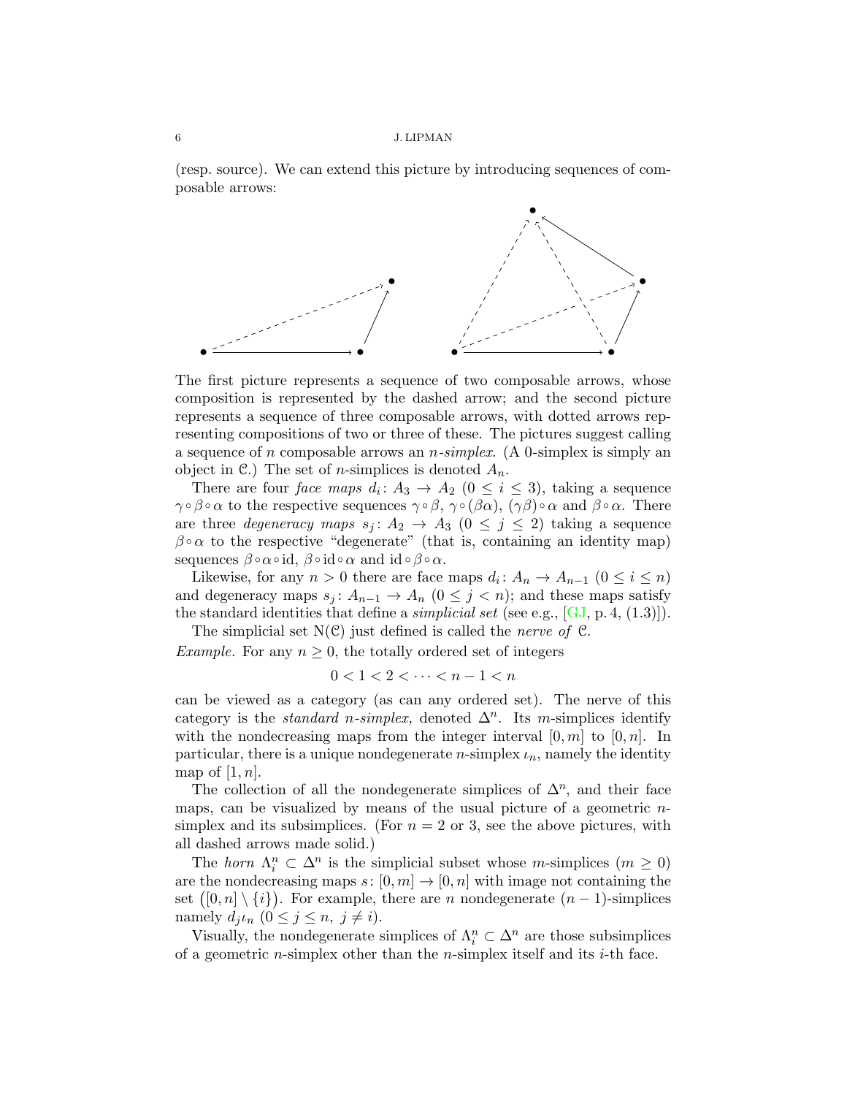<span id="page-5-0"></span>(resp. source). We can extend this picture by introducing sequences of composable arrows:



The first picture represents a sequence of two composable arrows, whose composition is represented by the dashed arrow; and the second picture represents a sequence of three composable arrows, with dotted arrows representing compositions of two or three of these. The pictures suggest calling a sequence of n composable arrows an  $n\text{-}simplex$ . (A 0-simplex is simply an object in C.) The set of *n*-simplices is denoted  $A_n$ .

There are four *face maps*  $d_i: A_3 \to A_2$   $(0 \le i \le 3)$ , taking a sequence  $\gamma \circ \beta \circ \alpha$  to the respective sequences  $\gamma \circ \beta$ ,  $\gamma \circ (\beta \alpha)$ ,  $(\gamma \beta) \circ \alpha$  and  $\beta \circ \alpha$ . There are three *degeneracy maps*  $s_j: A_2 \to A_3$   $(0 \leq j \leq 2)$  taking a sequence  $\beta \circ \alpha$  to the respective "degenerate" (that is, containing an identity map) sequences  $\beta \circ \alpha \circ id$ ,  $\beta \circ id \circ \alpha$  and  $id \circ \beta \circ \alpha$ .

Likewise, for any  $n > 0$  there are face maps  $d_i: A_n \to A_{n-1}$   $(0 \le i \le n)$ and degeneracy maps  $s_j: A_{n-1} \to A_n$   $(0 \leq j \leq n)$ ; and these maps satisfy the standard identities that define a *simplicial set* (see e.g.,  $[GJ, p.4, (1.3)]$  $[GJ, p.4, (1.3)]$ ).

The simplicial set  $N(\mathcal{C})$  just defined is called the *nerve of*  $\mathcal{C}$ .

Example. For any  $n \geq 0$ , the totally ordered set of integers

$$
0<1<2<\cdots
$$

can be viewed as a category (as can any ordered set). The nerve of this category is the *standard n-simplex*, denoted  $\Delta^n$ . Its m-simplices identify with the nondecreasing maps from the integer interval  $[0, m]$  to  $[0, n]$ . In particular, there is a unique nondegenerate *n*-simplex  $\iota_n$ , namely the identity map of  $[1, n]$ .

The collection of all the nondegenerate simplices of  $\Delta^n$ , and their face maps, can be visualized by means of the usual picture of a geometric  $n$ simplex and its subsimplices. (For  $n = 2$  or 3, see the above pictures, with all dashed arrows made solid.)

The horn  $\Lambda_i^n \subset \Delta^n$  is the simplicial subset whose m-simplices  $(m \geq 0)$ are the nondecreasing maps  $s: [0, m] \to [0, n]$  with image not containing the set  $([0, n] \setminus \{i\})$ . For example, there are *n* nondegenerate  $(n-1)$ -simplices namely  $d_j \iota_n$   $(0 \leq j \leq n, j \neq i)$ .

Visually, the nondegenerate simplices of  $\Lambda^n_i \subset \Delta^n$  are those subsimplices of a geometric *n*-simplex other than the *n*-simplex itself and its  $i$ -th face.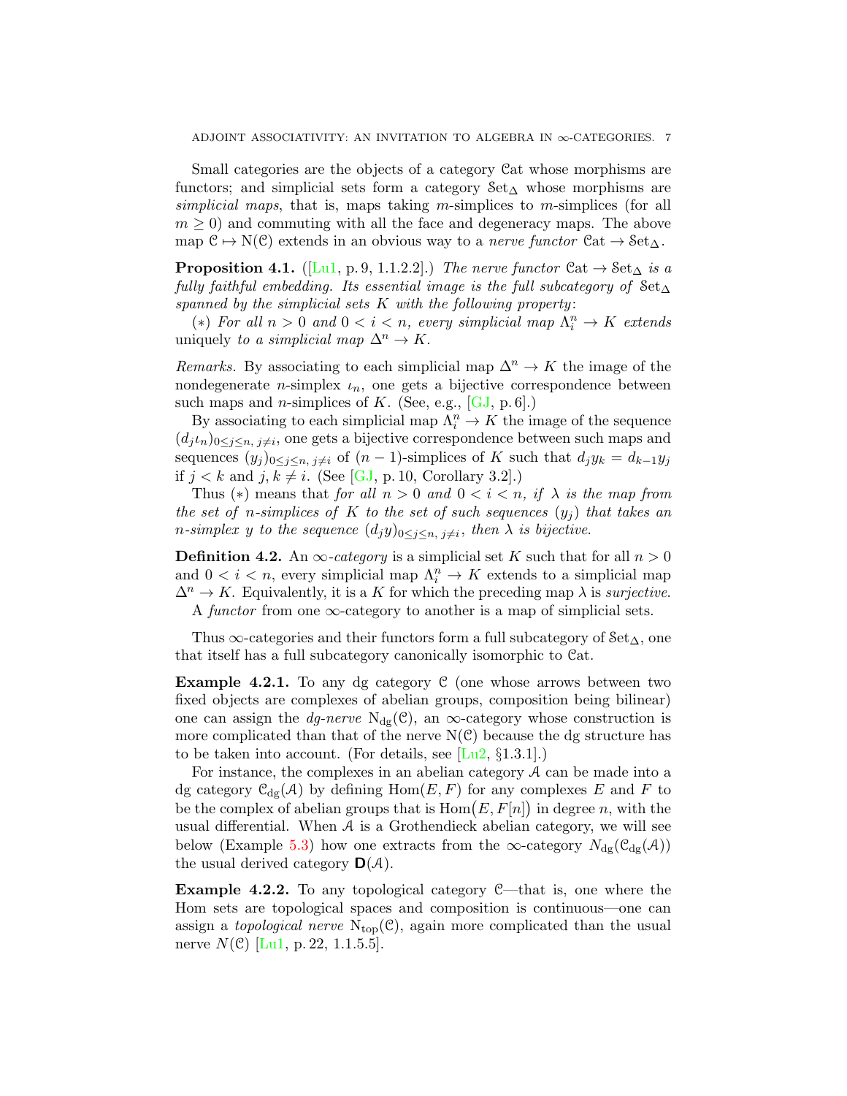<span id="page-6-4"></span>Small categories are the objects of a category Cat whose morphisms are functors; and simplicial sets form a category  $\text{Set}_{\Delta}$  whose morphisms are simplicial maps, that is, maps taking m-simplices to m-simplices (for all  $m \geq 0$  and commuting with all the face and degeneracy maps. The above map  $C \rightarrow N(C)$  extends in an obvious way to a *nerve functor*  $Cat \rightarrow Set_{\Delta}$ .

<span id="page-6-1"></span>**Proposition 4.1.** ([\[Lu1,](#page-22-9) p.9, 1.1.2.2].) The nerve functor  $\mathcal{C}at \to \mathcal{S}et_{\Delta}$  is a fully faithful embedding. Its essential image is the full subcategory of  $Set_{\Delta}$ spanned by the simplicial sets  $K$  with the following property:

(\*) For all  $n > 0$  and  $0 < i < n$ , every simplicial map  $\Lambda_i^n \to K$  extends uniquely to a simplicial map  $\Delta^n \to K$ .

Remarks. By associating to each simplicial map  $\Delta^n \to K$  the image of the nondegenerate *n*-simplex  $\iota_n$ , one gets a bijective correspondence between such maps and *n*-simplices of  $K$ . (See, e.g., [\[GJ,](#page-22-11) p. 6].)

By associating to each simplicial map  $\Lambda_i^n \to K$  the image of the sequence  $(d_j \iota_n)_{0 \leq j \leq n, j \neq i}$ , one gets a bijective correspondence between such maps and sequences  $(y_j)_{0\leq j\leq n, j\neq i}$  of  $(n-1)$ -simplices of K such that  $d_jy_k = d_{k-1}y_j$ if  $j < k$  and  $j, k \neq i$ . (See [\[GJ,](#page-22-11) p. 10, Corollary 3.2].)

Thus (\*) means that for all  $n > 0$  and  $0 < i < n$ , if  $\lambda$  is the map from the set of n-simplices of K to the set of such sequences  $(y_i)$  that takes an *n*-simplex y to the sequence  $(d_jy)_{0 \leq j \leq n, j \neq i}$ , then  $\lambda$  is bijective.

<span id="page-6-0"></span>**Definition 4.2.** An  $\infty$ -category is a simplicial set K such that for all  $n > 0$ and  $0 < i < n$ , every simplicial map  $\Lambda_i^n \to K$  extends to a simplicial map  $\Delta^n \to K$ . Equivalently, it is a K for which the preceding map  $\lambda$  is surjective. A functor from one  $\infty$ -category to another is a map of simplicial sets.

Thus  $\infty$ -categories and their functors form a full subcategory of  $Set_{\Delta}$ , one that itself has a full subcategory canonically isomorphic to Cat.

<span id="page-6-3"></span>**Example 4.2.1.** To any dg category  $C$  (one whose arrows between two fixed objects are complexes of abelian groups, composition being bilinear) one can assign the *dg-nerve* N<sub>dg</sub>(C), an  $\infty$ -category whose construction is more complicated than that of the nerve  $N(\mathcal{C})$  because the dg structure has to be taken into account. (For details, see  $[Lu2, \S1.3.1]$  $[Lu2, \S1.3.1]$ .)

For instance, the complexes in an abelian category  $A$  can be made into a dg category  $\mathcal{C}_{dg}(\mathcal{A})$  by defining  $Hom(E, F)$  for any complexes E and F to be the complex of abelian groups that is  $Hom(E, F[n])$  in degree n, with the usual differential. When  $A$  is a Grothendieck abelian category, we will see below (Example [5.3\)](#page-8-0) how one extracts from the  $\infty$ -category  $N_{\rm dg}(\mathcal{C}_{\rm dg}(\mathcal{A}))$ the usual derived category  $\mathsf{D}(\mathcal{A})$ .

<span id="page-6-2"></span>Example 4.2.2. To any topological category C—that is, one where the Hom sets are topological spaces and composition is continuous—one can assign a *topological nerve*  $N_{top}(\mathcal{C})$ , again more complicated than the usual nerve  $N(\mathcal{C})$  [\[Lu1,](#page-22-9) p. 22, 1.1.5.5].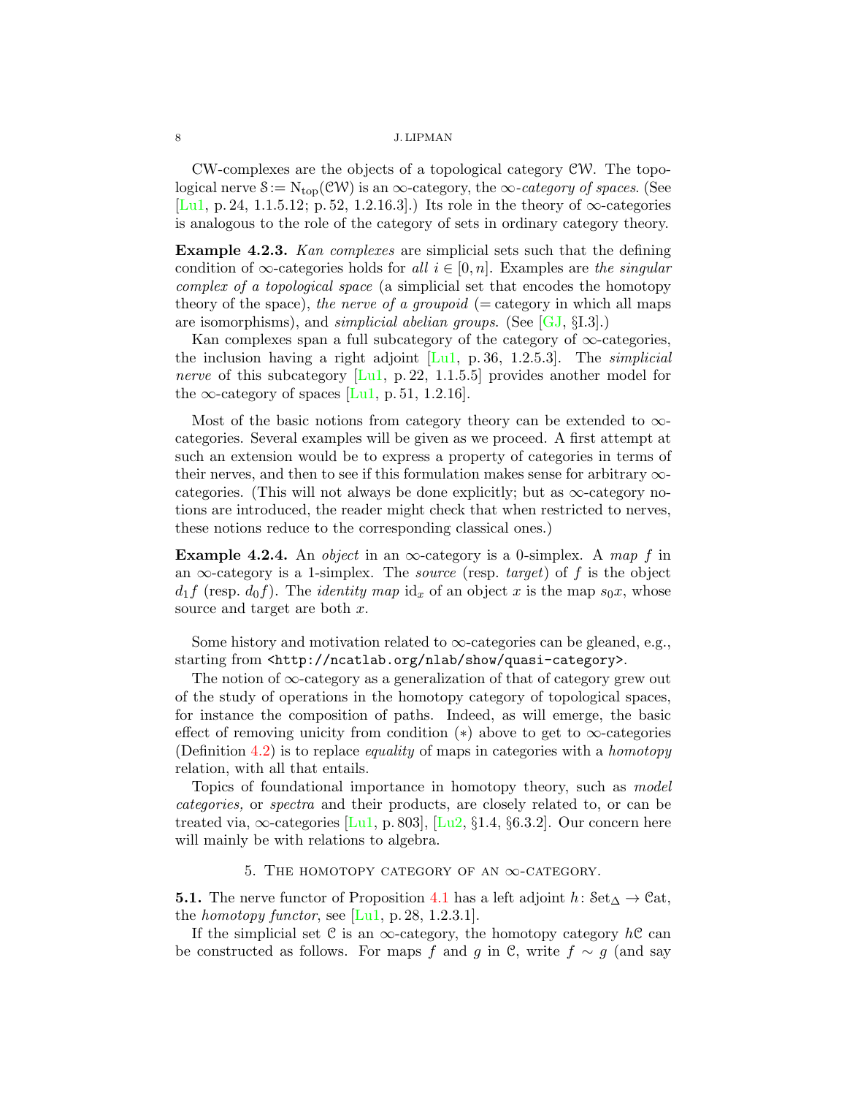CW-complexes are the objects of a topological category CW. The topological nerve  $S := N_{top}(\mathcal{CW})$  is an  $\infty$ -category, the  $\infty$ -category of spaces. (See [\[Lu1,](#page-22-9) p. 24, 1.1.5.12; p. 52, 1.2.16.3].) Its role in the theory of  $\infty$ -categories is analogous to the role of the category of sets in ordinary category theory.

<span id="page-7-1"></span>Example 4.2.3. Kan complexes are simplicial sets such that the defining condition of  $\infty$ -categories holds for all  $i \in [0, n]$ . Examples are the singular complex of a topological space (a simplicial set that encodes the homotopy theory of the space), the nerve of a groupoid ( $=$  category in which all maps are isomorphisms), and *simplicial abelian groups*. (See  $[GJ, \S I.3]$  $[GJ, \S I.3]$ .)

Kan complexes span a full subcategory of the category of  $\infty$ -categories, the inclusion having a right adjoint  $[L_1, p. 36, 1.2.5.3]$ . The *simplicial nerve* of this subcategory  $[L_1, p. 22, 1.1.5.5]$  provides another model for the  $\infty$ -category of spaces [\[Lu1,](#page-22-9) p. 51, 1.2.16].

Most of the basic notions from category theory can be extended to  $\infty$ categories. Several examples will be given as we proceed. A first attempt at such an extension would be to express a property of categories in terms of their nerves, and then to see if this formulation makes sense for arbitrary  $\infty$ categories. (This will not always be done explicitly; but as  $\infty$ -category notions are introduced, the reader might check that when restricted to nerves, these notions reduce to the corresponding classical ones.)

**Example 4.2.4.** An *object* in an  $\infty$ -category is a 0-simplex. A map f in an  $\infty$ -category is a 1-simplex. The *source* (resp. target) of f is the object  $d_1f$  (resp.  $d_0f$ ). The *identity map*  $id_x$  of an object x is the map  $s_0x$ , whose source and target are both  $x$ .

Some history and motivation related to  $\infty$ -categories can be gleaned, e.g., starting from <http://ncatlab.org/nlab/show/quasi-category>.

The notion of  $\infty$ -category as a generalization of that of category grew out of the study of operations in the homotopy category of topological spaces, for instance the composition of paths. Indeed, as will emerge, the basic effect of removing unicity from condition  $(*)$  above to get to  $\infty$ -categories (Definition [4.2\)](#page-6-0) is to replace *equality* of maps in categories with a *homotopy* relation, with all that entails.

Topics of foundational importance in homotopy theory, such as model categories, or spectra and their products, are closely related to, or can be treated via,  $\infty$ -categories [\[Lu1,](#page-22-9) p. 803], [\[Lu2,](#page-22-10) §1.4, §6.3.2]. Our concern here will mainly be with relations to algebra.

# 5. THE HOMOTOPY CATEGORY OF AN  $\infty$ -CATEGORY.

<span id="page-7-0"></span>**5.1.** The nerve functor of Proposition [4.1](#page-6-1) has a left adjoint  $h: \text{Set}_{\Delta} \to \text{Cat}$ , the *homotopy functor*, see  $[L_1, p. 28, 1.2.3.1]$ .

If the simplicial set C is an  $\infty$ -category, the homotopy category  $hC$  can be constructed as follows. For maps f and g in C, write  $f \sim g$  (and say

<span id="page-7-2"></span>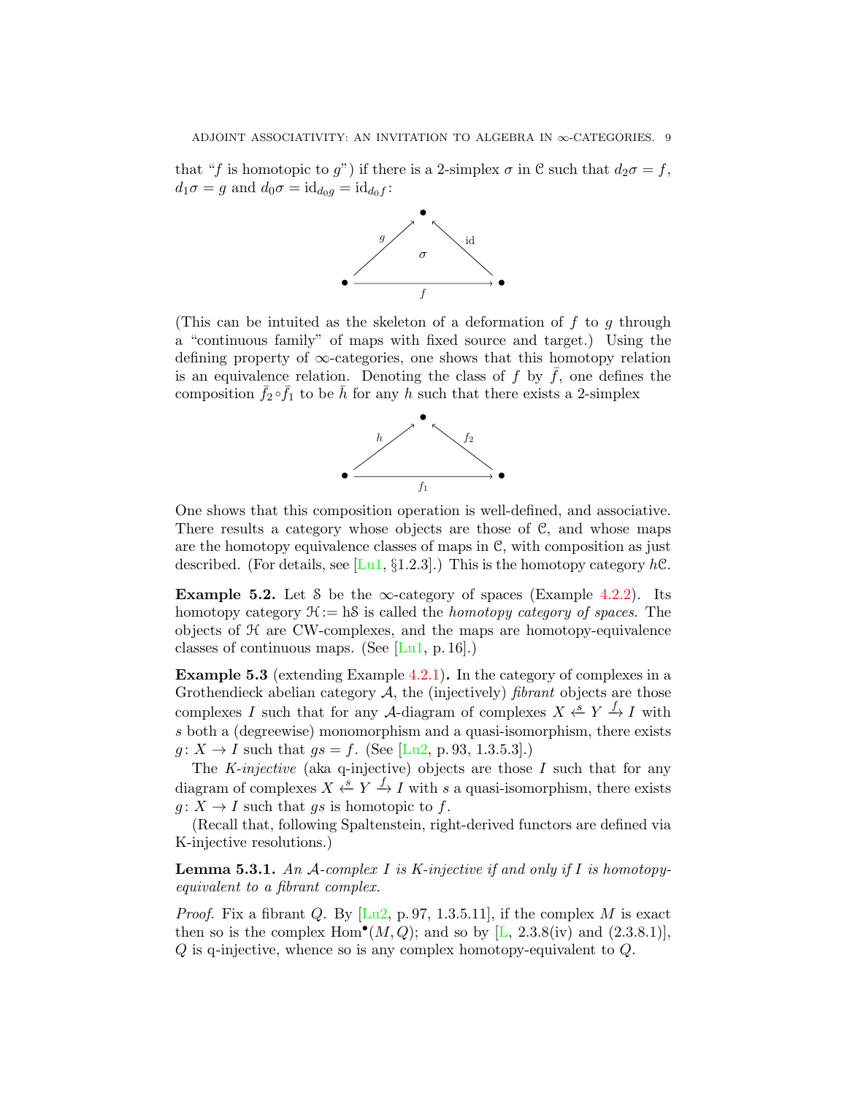<span id="page-8-3"></span>that "f is homotopic to g") if there is a 2-simplex  $\sigma$  in C such that  $d_2\sigma = f$ ,  $d_1\sigma = g$  and  $d_0\sigma = id_{d_0g} = id_{d_0f}$ :



(This can be intuited as the skeleton of a deformation of  $f$  to  $g$  through a "continuous family" of maps with fixed source and target.) Using the defining property of  $\infty$ -categories, one shows that this homotopy relation is an equivalence relation. Denoting the class of  $f$  by  $f$ , one defines the composition  $\bar{f}_2 \circ \bar{f}_1$  to be  $\bar{h}$  for any h such that there exists a 2-simplex



One shows that this composition operation is well-defined, and associative. There results a category whose objects are those of C, and whose maps are the homotopy equivalence classes of maps in C, with composition as just described. (For details, see [\[Lu1,](#page-22-9) §1.2.3].) This is the homotopy category  $hC$ .

<span id="page-8-2"></span>**Example 5.2.** Let S be the  $\infty$ -category of spaces (Example [4.2.2\)](#page-6-2). Its homotopy category  $\mathcal{H}:=$  hS is called the *homotopy category of spaces*. The objects of H are CW-complexes, and the maps are homotopy-equivalence classes of continuous maps. (See [\[Lu1,](#page-22-9) p. 16].)

<span id="page-8-0"></span>Example 5.3 (extending Example [4.2.1\)](#page-6-3). In the category of complexes in a Grothendieck abelian category  $A$ , the (injectively) *fibrant* objects are those complexes I such that for any A-diagram of complexes  $X \xleftarrow{s} Y \xrightarrow{f} I$  with s both a (degreewise) monomorphism and a quasi-isomorphism, there exists  $g: X \to I$  such that  $gs = f$ . (See [\[Lu2,](#page-22-10) p. 93, 1.3.5.3].)

The  $K$ -injective (aka q-injective) objects are those  $I$  such that for any diagram of complexes  $X \xleftarrow{s} Y \xrightarrow{f} I$  with s a quasi-isomorphism, there exists  $q: X \to I$  such that qs is homotopic to f.

(Recall that, following Spaltenstein, right-derived functors are defined via K-injective resolutions.)

<span id="page-8-1"></span>**Lemma 5.3.1.** An A-complex I is K-injective if and only if I is homotopyequivalent to a fibrant complex.

*Proof.* Fix a fibrant Q. By  $[Lu2, p. 97, 1.3.5.11]$  $[Lu2, p. 97, 1.3.5.11]$ , if the complex M is exact then so is the complex Hom<sup>•</sup>( $M, Q$ ); and so by [\[L,](#page-22-12) 2.3.8(iv) and (2.3.8.1)], Q is q-injective, whence so is any complex homotopy-equivalent to Q.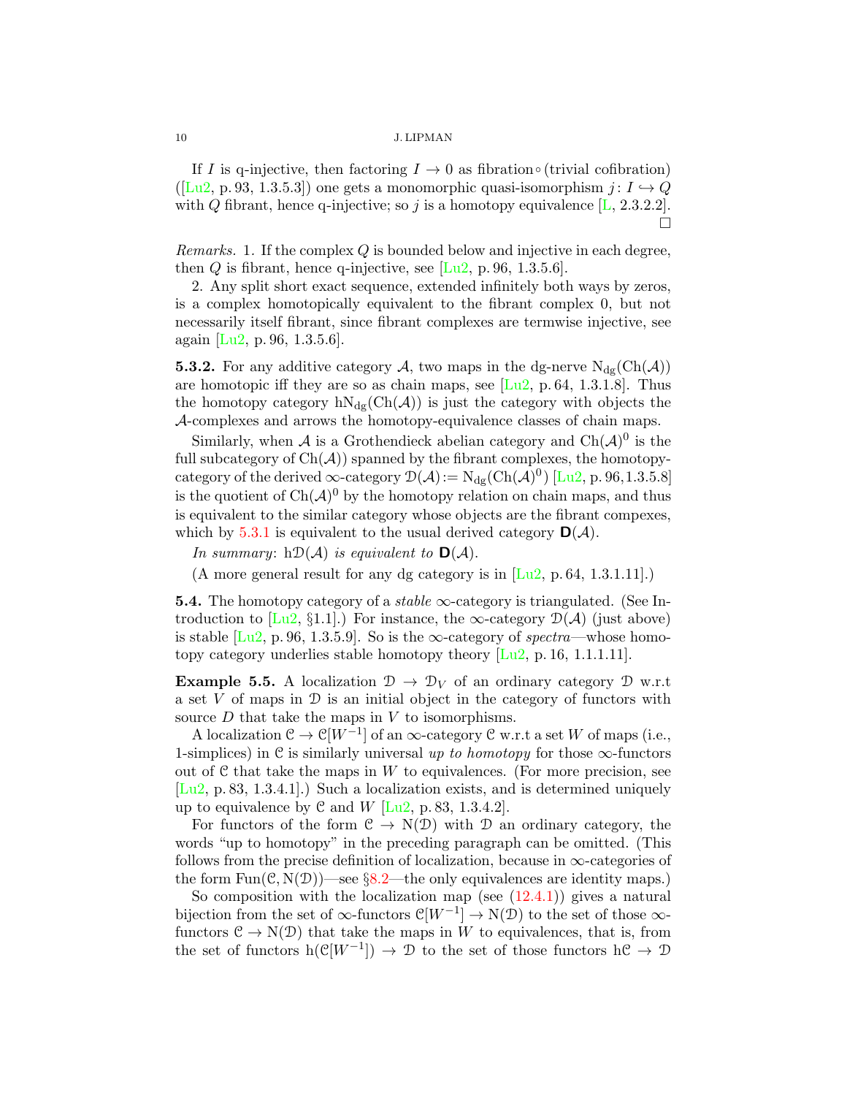If I is q-injective, then factoring  $I \rightarrow 0$  as fibration∘ (trivial cofibration)  $([Lu2, p. 93, 1.3.5.3])$  $([Lu2, p. 93, 1.3.5.3])$  $([Lu2, p. 93, 1.3.5.3])$  one gets a monomorphic quasi-isomorphism  $j: I \rightarrow Q$ with Q fibrant, hence q-injective; so j is a homotopy equivalence  $[L, 2.3.2.2]$  $[L, 2.3.2.2]$ . Ò

Remarks. 1. If the complex Q is bounded below and injective in each degree, then Q is fibrant, hence q-injective, see  $[Lu2, p. 96, 1.3.5.6]$  $[Lu2, p. 96, 1.3.5.6]$ .

2. Any split short exact sequence, extended infinitely both ways by zeros, is a complex homotopically equivalent to the fibrant complex 0, but not necessarily itself fibrant, since fibrant complexes are termwise injective, see again [\[Lu2,](#page-22-10) p. 96, 1.3.5.6].

**5.3.2.** For any additive category A, two maps in the dg-nerve  $N_{\text{dg}}(\text{Ch}(\mathcal{A}))$ are homotopic iff they are so as chain maps, see  $[Lu2, p.64, 1.3.1.8]$  $[Lu2, p.64, 1.3.1.8]$ . Thus the homotopy category  $hN_{dg}(Ch(\mathcal{A}))$  is just the category with objects the A-complexes and arrows the homotopy-equivalence classes of chain maps.

Similarly, when A is a Grothendieck abelian category and  $\text{Ch}(\mathcal{A})^0$  is the full subcategory of  $Ch(\mathcal{A})$  spanned by the fibrant complexes, the homotopycategory of the derived  $\infty$ -category  $\mathcal{D}(\mathcal{A}) := N_{dg}(Ch(\mathcal{A})^0)$  [\[Lu2,](#page-22-10) p. 96,1.3.5.8] is the quotient of  $\text{Ch}(\mathcal{A})^0$  by the homotopy relation on chain maps, and thus is equivalent to the similar category whose objects are the fibrant compexes, which by [5.3.1](#page-8-1) is equivalent to the usual derived category  $\mathbf{D}(\mathcal{A})$ .

In summary:  $h\mathcal{D}(\mathcal{A})$  is equivalent to  $\mathbf{D}(\mathcal{A})$ .

(A more general result for any dg category is in  $[Lu2, p. 64, 1.3.1.11]$  $[Lu2, p. 64, 1.3.1.11]$ .)

**5.4.** The homotopy category of a *stable*  $\infty$ -category is triangulated. (See In-troduction to [\[Lu2,](#page-22-10) §1.1].) For instance, the  $\infty$ -category  $\mathcal{D}(\mathcal{A})$  (just above) is stable  $[Lu2, p. 96, 1.3.5.9]$  $[Lu2, p. 96, 1.3.5.9]$ . So is the  $\infty$ -category of *spectra*—whose homotopy category underlies stable homotopy theory [\[Lu2,](#page-22-10) p. 16, 1.1.1.11].

<span id="page-9-0"></span>**Example 5.5.** A localization  $\mathcal{D} \to \mathcal{D}_V$  of an ordinary category  $\mathcal{D}$  w.r.t a set  $V$  of maps in  $D$  is an initial object in the category of functors with source  $D$  that take the maps in  $V$  to isomorphisms.

A localization  $\mathcal{C} \to \mathcal{C}[W^{-1}]$  of an  $\infty$ -category  $\mathcal{C}$  w.r.t a set W of maps (i.e., 1-simplices) in C is similarly universal up to homotopy for those  $\infty$ -functors out of  $\mathcal C$  that take the maps in  $W$  to equivalences. (For more precision, see [\[Lu2,](#page-22-10) p. 83, 1.3.4.1].) Such a localization exists, and is determined uniquely up to equivalence by  $\mathcal C$  and  $W$  [\[Lu2,](#page-22-10) p. 83, 1.3.4.2].

For functors of the form  $C \to N(D)$  with D an ordinary category, the words "up to homotopy" in the preceding paragraph can be omitted. (This follows from the precise definition of localization, because in  $\infty$ -categories of the form  $Fun(\mathcal{C}, \mathcal{N}(\mathcal{D}))$ —see §[8.2—](#page-14-1)the only equivalences are identity maps.)

So composition with the localization map (see  $(12.4.1)$ ) gives a natural bijection from the set of  $\infty$ -functors  $\mathcal{C}[W^{-1}] \to N(\mathcal{D})$  to the set of those  $\infty$ functors  $C \to N(D)$  that take the maps in W to equivalences, that is, from the set of functors h( $\mathcal{C}[W^{-1}]$ )  $\to \mathcal{D}$  to the set of those functors h $\mathcal{C} \to \mathcal{D}$ 

<span id="page-9-1"></span>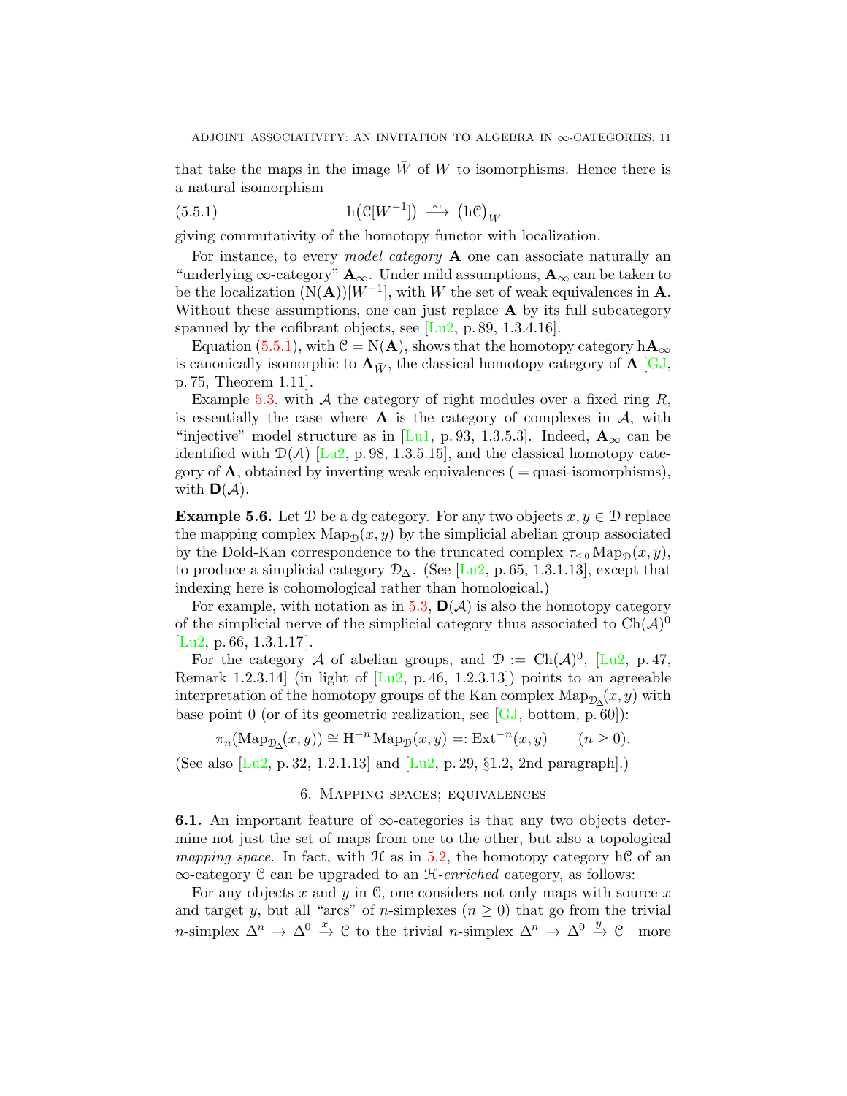<span id="page-10-3"></span>that take the maps in the image  $\bar{W}$  of W to isomorphisms. Hence there is a natural isomorphism

<span id="page-10-1"></span>(5.5.1) 
$$
h(\mathcal{C}[W^{-1}]) \longrightarrow (h\mathcal{C})_{\bar{W}}
$$

giving commutativity of the homotopy functor with localization.

For instance, to every *model category*  $\bf{A}$  one can associate naturally an "underlying  $\infty$ -category"  $\mathbf{A}_{\infty}$ . Under mild assumptions,  $\mathbf{A}_{\infty}$  can be taken to be the localization  $(N(A))[W^{-1}]$ , with W the set of weak equivalences in **A**. Without these assumptions, one can just replace  $A$  by its full subcategory spanned by the cofibrant objects, see  $[Lu2, p. 89, 1.3.4.16]$  $[Lu2, p. 89, 1.3.4.16]$ .

Equation [\(5.5.1\)](#page-10-1), with  $\mathcal{C} = N(\mathbf{A})$ , shows that the homotopy category  $h\mathbf{A}_{\infty}$ is canonically isomorphic to  $\mathbf{A}_{\bar{W}}$ , the classical homotopy category of  $\mathbf{A}$  [\[GJ,](#page-22-11) p. 75, Theorem 1.11].

Example [5.3,](#page-8-0) with A the category of right modules over a fixed ring  $R$ , is essentially the case where  $\bf{A}$  is the category of complexes in  $\bf{A}$ , with "injective" model structure as in [\[Lu1,](#page-22-9) p. 93, 1.3.5.3]. Indeed,  $\mathbf{A}_{\infty}$  can be identified with  $\mathcal{D}(\mathcal{A})$  [\[Lu2,](#page-22-10) p. 98, 1.3.5.15], and the classical homotopy category of  $\bf{A}$ , obtained by inverting weak equivalences ( = quasi-isomorphisms), with  $\mathbf{D}(\mathcal{A})$ .

**Example 5.6.** Let  $D$  be a dg category. For any two objects  $x, y \in D$  replace the mapping complex  $\text{Map}_{\mathcal{D}}(x, y)$  by the simplicial abelian group associated by the Dold-Kan correspondence to the truncated complex  $\tau_{\leq 0}$  Map<sub>D</sub> $(x, y)$ , to produce a simplicial category  $\mathcal{D}_{\Delta}$ . (See [\[Lu2,](#page-22-10) p. 65, 1.3.1.13], except that indexing here is cohomological rather than homological.)

For example, with notation as in [5.3,](#page-8-0)  $\mathsf{D}(\mathcal{A})$  is also the homotopy category of the simplicial nerve of the simplicial category thus associated to  $\text{Ch}(\mathcal{A})^0$  $[Lu2, p. 66, 1.3.1.17]$  $[Lu2, p. 66, 1.3.1.17]$ .

For the category A of abelian groups, and  $\mathcal{D} := \text{Ch}(\mathcal{A})^0$ , [\[Lu2,](#page-22-10) p. 47, Remark 1.2.3.14] (in light of  $[Lu2, p.46, 1.2.3.13]$  $[Lu2, p.46, 1.2.3.13]$ ) points to an agreeable interpretation of the homotopy groups of the Kan complex  $\operatorname{Map}_{\mathcal{D}_{\Delta}}(x, y)$  with base point 0 (or of its geometric realization, see [\[GJ,](#page-22-11) bottom, p. 60]):

$$
\pi_n(\mathrm{Map}_{\mathcal{D}_\Delta}(x,y)) \cong \mathrm{H}^{-n}\mathrm{Map}_{\mathcal{D}}(x,y) =: \mathrm{Ext}^{-n}(x,y) \qquad (n \ge 0).
$$

<span id="page-10-0"></span>(See also [\[Lu2,](#page-22-10) p. 32, 1.2.1.13] and [\[Lu2,](#page-22-10) p. 29, §1.2, 2nd paragraph].)

## 6. Mapping spaces; equivalences

<span id="page-10-2"></span>**6.1.** An important feature of  $\infty$ -categories is that any two objects determine not just the set of maps from one to the other, but also a topological mapping space. In fact, with  $\mathcal H$  as in [5.2,](#page-8-2) the homotopy category hC of an ∞-category C can be upgraded to an H-enriched category, as follows:

For any objects x and y in C, one considers not only maps with source x and target y, but all "arcs" of n-simplexes  $(n \geq 0)$  that go from the trivial n-simplex  $\Delta^n \to \Delta^0 \stackrel{x}{\to} \mathfrak{C}$  to the trivial n-simplex  $\Delta^n \to \Delta^0 \stackrel{y}{\to} \mathfrak{C}$ —more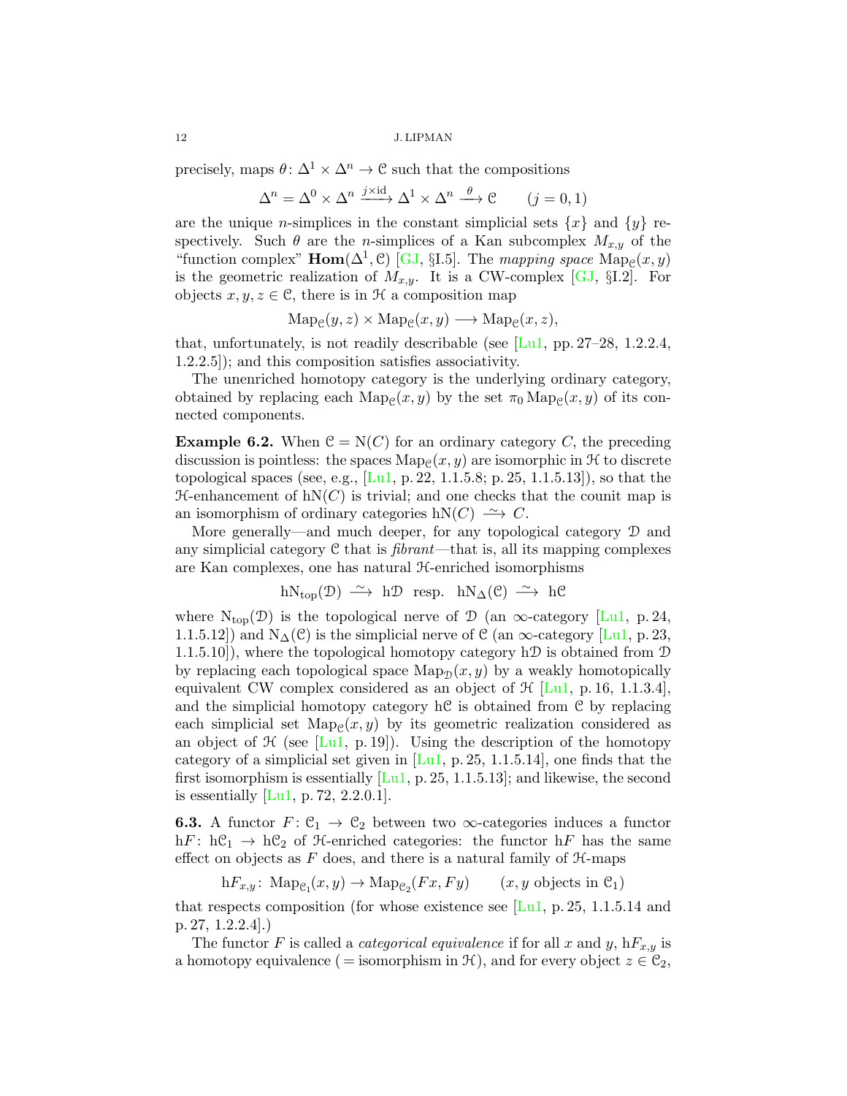<span id="page-11-1"></span>precisely, maps  $\theta: \Delta^1 \times \Delta^n \to \mathcal{C}$  such that the compositions

$$
\Delta^n = \Delta^0 \times \Delta^n \xrightarrow{j \times \mathrm{id}} \Delta^1 \times \Delta^n \xrightarrow{\theta} \mathcal{C} \qquad (j = 0, 1)
$$

are the unique *n*-simplices in the constant simplicial sets  $\{x\}$  and  $\{y\}$  respectively. Such  $\theta$  are the *n*-simplices of a Kan subcomplex  $M_{x,y}$  of the "function complex" **Hom**( $\Delta^1$ ,  $\mathcal{C}$ ) [\[GJ,](#page-22-11) §I.5]. The mapping space  $\text{Map}_{\mathcal{C}}(x, y)$ is the geometric realization of  $M_{x,y}$ . It is a CW-complex [\[GJ,](#page-22-11) §I.2]. For objects  $x, y, z \in \mathcal{C}$ , there is in  $\mathcal H$  a composition map

$$
Map_{\mathcal{C}}(y, z) \times Map_{\mathcal{C}}(x, y) \longrightarrow Map_{\mathcal{C}}(x, z),
$$

that, unfortunately, is not readily describable (see  $[L_{\text{u}}]$ , pp. 27–28, 1.2.2.4, 1.2.2.5]); and this composition satisfies associativity.

The unenriched homotopy category is the underlying ordinary category, obtained by replacing each  $\text{Map}_{\mathcal{C}}(x, y)$  by the set  $\pi_0 \text{Map}_{\mathcal{C}}(x, y)$  of its connected components.

<span id="page-11-0"></span>**Example 6.2.** When  $C = N(C)$  for an ordinary category C, the preceding discussion is pointless: the spaces  $\text{Map}_{\mathcal{C}}(x, y)$  are isomorphic in  $\mathcal{H}$  to discrete topological spaces (see, e.g.,  $[L_1, p. 22, 1.1.5.8; p. 25, 1.1.5.13]$ ), so that the  $H$ -enhancement of  $hN(C)$  is trivial; and one checks that the counit map is an isomorphism of ordinary categories hN(C)  $\longrightarrow$  C.

More generally—and much deeper, for any topological category D and any simplicial category  $C$  that is *fibrant*—that is, all its mapping complexes are Kan complexes, one has natural H-enriched isomorphisms

$$
hN_{top}(\mathcal{D}) \xrightarrow{\sim} h\mathcal{D}
$$
 resp.  $hN_{\Delta}(\mathcal{C}) \xrightarrow{\sim} h\mathcal{C}$ 

where  $N_{top}(\mathcal{D})$  is the topological nerve of  $\mathcal{D}$  (an  $\infty$ -category [\[Lu1,](#page-22-9) p. 24, 1.1.5.12) and  $N_{\Delta}(\mathcal{C})$  is the simplicial nerve of  $\mathcal{C}$  (an  $\infty$ -category [\[Lu1,](#page-22-9) p. 23, 1.1.5.10]), where the topological homotopy category h $\mathcal D$  is obtained from  $\mathcal D$ by replacing each topological space  $\text{Map}_{\mathcal{D}}(x, y)$  by a weakly homotopically equivalent CW complex considered as an object of  $\mathcal{H}$  [\[Lu1,](#page-22-9) p. 16, 1.1.3.4], and the simplicial homotopy category  $h\mathcal{C}$  is obtained from  $\mathcal{C}$  by replacing each simplicial set  $\text{Map}_{\mathcal{C}}(x, y)$  by its geometric realization considered as an object of  $\mathcal H$  (see [\[Lu1,](#page-22-9) p. 19]). Using the description of the homotopy category of a simplicial set given in  $[L_1, p. 25, 1.1.5.14]$ , one finds that the first isomorphism is essentially  $[Lu1, p. 25, 1.1.5.13]$  $[Lu1, p. 25, 1.1.5.13]$ ; and likewise, the second is essentially  $[Lu1, p. 72, 2.2.0.1]$  $[Lu1, p. 72, 2.2.0.1]$ .

**6.3.** A functor  $F: \mathcal{C}_1 \to \mathcal{C}_2$  between two  $\infty$ -categories induces a functor hF:  $hC_1 \rightarrow hC_2$  of H-enriched categories: the functor hF has the same effect on objects as  $F$  does, and there is a natural family of  $H$ -maps

 $hF_{x,y}$ :  $\text{Map}_{\mathcal{C}_1}(x,y) \to \text{Map}_{\mathcal{C}_2}(Fx, Fy)$  (*x, y* objects in  $\mathcal{C}_1$ )

that respects composition (for whose existence see  $[L_{u1}, p. 25, 1.1.5.14,$  and p. 27, 1.2.2.4].)

The functor F is called a *categorical equivalence* if for all x and y,  $hF_{x,y}$  is a homotopy equivalence ( = isomorphism in  $\mathcal{H}$ ), and for every object  $z \in \mathcal{C}_2$ ,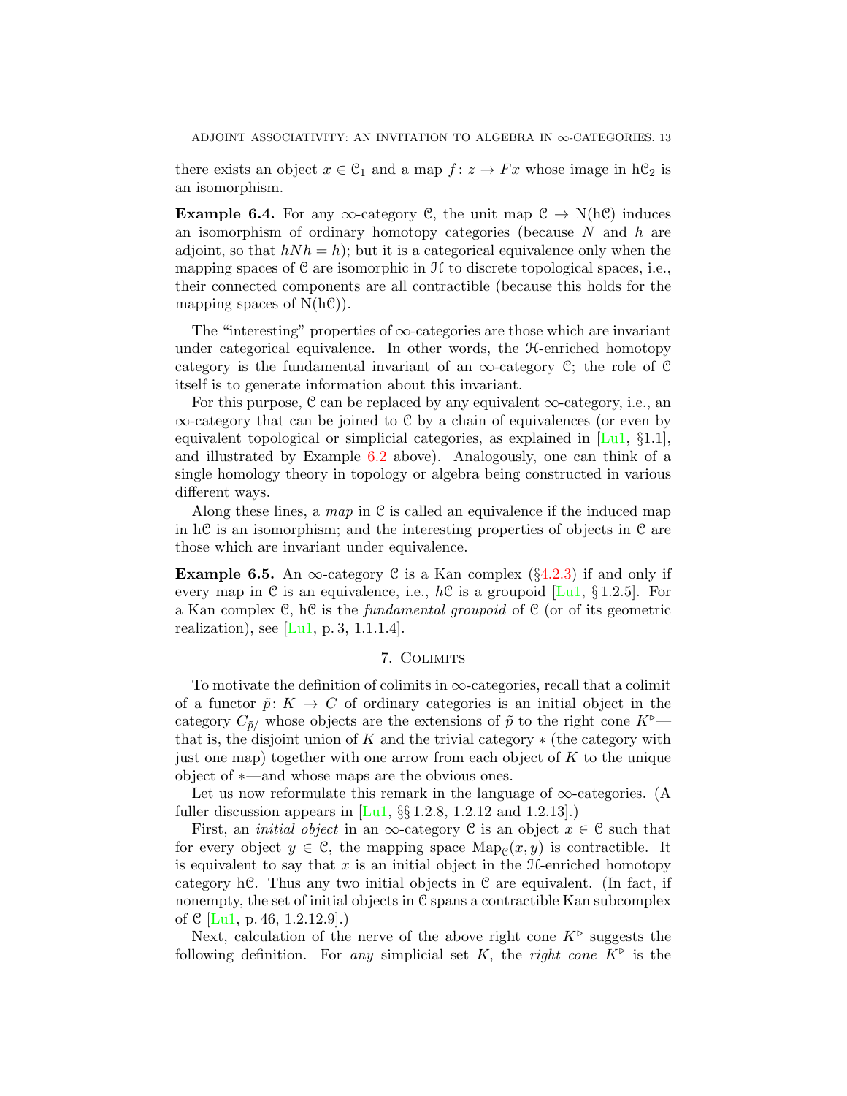<span id="page-12-1"></span>there exists an object  $x \in \mathcal{C}_1$  and a map  $f: z \to Fx$  whose image in  $h\mathcal{C}_2$  is an isomorphism.

**Example 6.4.** For any  $\infty$ -category C, the unit map  $C \to N(hC)$  induces an isomorphism of ordinary homotopy categories (because  $N$  and  $h$  are adjoint, so that  $hNh = h$ ; but it is a categorical equivalence only when the mapping spaces of  $\mathcal C$  are isomorphic in  $\mathcal H$  to discrete topological spaces, i.e., their connected components are all contractible (because this holds for the mapping spaces of  $N(h\mathcal{C})$ .

The "interesting" properties of  $\infty$ -categories are those which are invariant under categorical equivalence. In other words, the H-enriched homotopy category is the fundamental invariant of an  $\infty$ -category C; the role of C itself is to generate information about this invariant.

For this purpose,  $\mathcal C$  can be replaced by any equivalent  $\infty$ -category, i.e., an ∞-category that can be joined to C by a chain of equivalences (or even by equivalent topological or simplicial categories, as explained in  $\text{L}\text{u1}, \text{§}1.1$ , and illustrated by Example [6.2](#page-11-0) above). Analogously, one can think of a single homology theory in topology or algebra being constructed in various different ways.

Along these lines, a map in  $\mathfrak C$  is called an equivalence if the induced map in  $\hbar$  is an isomorphism; and the interesting properties of objects in  $\mathcal C$  are those which are invariant under equivalence.

**Example 6.5.** An  $\infty$ -category C is a Kan complex (§[4.2.3\)](#page-7-1) if and only if every map in C is an equivalence, i.e.,  $h\mathcal{C}$  is a groupoid [\[Lu1,](#page-22-9) §1.2.5]. For a Kan complex  $C$ , hC is the *fundamental groupoid* of  $C$  (or of its geometric realization), see  $[Lu1, p.3, 1.1.1.4]$  $[Lu1, p.3, 1.1.1.4]$ .

# 7. Colimits

<span id="page-12-0"></span>To motivate the definition of colimits in  $\infty$ -categories, recall that a colimit of a functor  $\tilde{p}: K \to C$  of ordinary categories is an initial object in the category  $C_{\tilde{p}}$  whose objects are the extensions of  $\tilde{p}$  to the right cone  $K^{\triangleright}$  that is, the disjoint union of K and the trivial category  $\ast$  (the category with just one map) together with one arrow from each object of  $K$  to the unique object of ∗—and whose maps are the obvious ones.

Let us now reformulate this remark in the language of  $\infty$ -categories. (A fuller discussion appears in  $[L_1, \S_2]$  1.2.8, 1.2.12 and 1.2.13.

First, an *initial object* in an  $\infty$ -category C is an object  $x \in \mathcal{C}$  such that for every object  $y \in \mathcal{C}$ , the mapping space  $\text{Map}_{\mathcal{C}}(x, y)$  is contractible. It is equivalent to say that  $x$  is an initial object in the  $H$ -enriched homotopy category hC. Thus any two initial objects in  $\mathcal C$  are equivalent. (In fact, if nonempty, the set of initial objects in C spans a contractible Kan subcomplex of C [\[Lu1,](#page-22-9) p. 46, 1.2.12.9].)

Next, calculation of the nerve of the above right cone  $K^{\triangleright}$  suggests the following definition. For any simplicial set K, the right cone  $K^{\triangleright}$  is the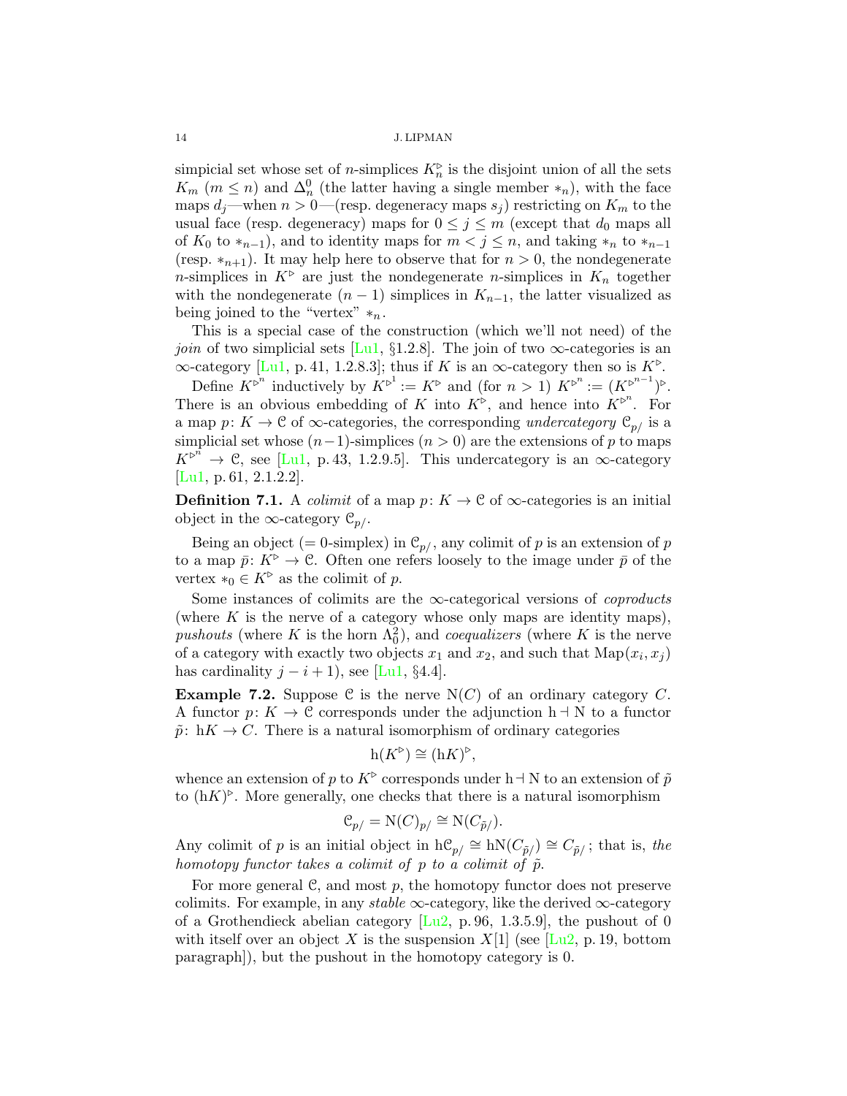<span id="page-13-0"></span>simplicial set whose set of *n*-simplices  $K_n^{\triangleright}$  is the disjoint union of all the sets  $K_m$  ( $m \leq n$ ) and  $\Delta_n^0$  (the latter having a single member  $*_n$ ), with the face maps  $d_j$ —when  $n > 0$ —(resp. degeneracy maps  $s_j$ ) restricting on  $K_m$  to the usual face (resp. degeneracy) maps for  $0 \leq j \leq m$  (except that  $d_0$  maps all of  $K_0$  to  $*_{{n-1}}$ , and to identity maps for  $m < j \leq n$ , and taking  $*_n$  to  $*_{{n-1}}$ (resp.  $*_n+1$ ). It may help here to observe that for  $n > 0$ , the nondegenerate n-simplices in  $K^{\triangleright}$  are just the nondegenerate n-simplices in  $K_n$  together with the nondegenerate  $(n-1)$  simplices in  $K_{n-1}$ , the latter visualized as being joined to the "vertex"  $*_n$ .

This is a special case of the construction (which we'll not need) of the *join* of two simplicial sets [\[Lu1,](#page-22-9) §1.2.8]. The join of two  $\infty$ -categories is an  $\infty$ -category [\[Lu1,](#page-22-9) p. 41, 1.2.8.3]; thus if K is an  $\infty$ -category then so is  $K^{\triangleright}$ .

Define  $K^{\triangleright^n}$  inductively by  $K^{\triangleright^1} := K^{\triangleright}$  and (for  $n > 1$ )  $K^{\triangleright^n} := (K^{\triangleright^{n-1}})^{\triangleright}.$ There is an obvious embedding of K into  $K^{\triangleright}$ , and hence into  $K^{\triangleright}$ <sup>n</sup>. For a map  $p: K \to \mathcal{C}$  of  $\infty$ -categories, the corresponding undercategory  $\mathcal{C}_{p}$  is a simplicial set whose  $(n-1)$ -simplices  $(n > 0)$  are the extensions of p to maps  $K^{\triangleright^n} \to \mathcal{C}$ , see [\[Lu1,](#page-22-9) p. 43, 1.2.9.5]. This undercategory is an  $\infty$ -category [\[Lu1,](#page-22-9) p. 61, 2.1.2.2].

**Definition 7.1.** A *colimit* of a map  $p: K \to \mathcal{C}$  of  $\infty$ -categories is an initial object in the  $\infty$ -category  $\mathcal{C}_{p/}$ .

Being an object (= 0-simplex) in  $\mathcal{C}_{p/}$ , any colimit of p is an extension of p to a map  $\bar{p}: K^{\triangleright} \to \mathcal{C}$ . Often one refers loosely to the image under  $\bar{p}$  of the vertex  $*_0 \in K^{\triangleright}$  as the colimit of p.

Some instances of colimits are the  $\infty$ -categorical versions of *coproducts* (where  $K$  is the nerve of a category whose only maps are identity maps), pushouts (where K is the horn  $\Lambda_0^2$ ), and *coequalizers* (where K is the nerve of a category with exactly two objects  $x_1$  and  $x_2$ , and such that  $\text{Map}(x_i, x_j)$ has cardinality  $j - i + 1$ , see [\[Lu1,](#page-22-9) §4.4].

**Example 7.2.** Suppose C is the nerve  $N(C)$  of an ordinary category C. A functor  $p: K \to \mathcal{C}$  corresponds under the adjunction  $h \dashv N$  to a functor  $\tilde{p}: hK \to C$ . There is a natural isomorphism of ordinary categories

$$
h(K^{\triangleright}) \cong (hK)^{\triangleright},
$$

whence an extension of p to  $K^{\triangleright}$  corresponds under h  $\neg$  N to an extension of  $\tilde{p}$ to  $(hK)^{\triangleright}$ . More generally, one checks that there is a natural isomorphism

$$
\mathcal{C}_{p/} = \mathrm{N}(C)_{p/} \cong \mathrm{N}(C_{\tilde{p}/}).
$$

Any colimit of p is an initial object in  $h\mathcal{C}_{p} \cong hN(C_{\tilde{p}}) \cong C_{\tilde{p}}$ ; that is, the homotopy functor takes a colimit of p to a colimit of  $\tilde{p}$ .

For more general  $\mathcal{C}$ , and most p, the homotopy functor does not preserve colimits. For example, in any *stable*  $\infty$ -category, like the derived  $\infty$ -category of a Grothendieck abelian category  $[Lu2, p. 96, 1.3.5.9]$  $[Lu2, p. 96, 1.3.5.9]$ , the pushout of 0 with itself over an object X is the suspension  $X[1]$  (see [\[Lu2,](#page-22-10) p. 19, bottom paragraph]), but the pushout in the homotopy category is 0.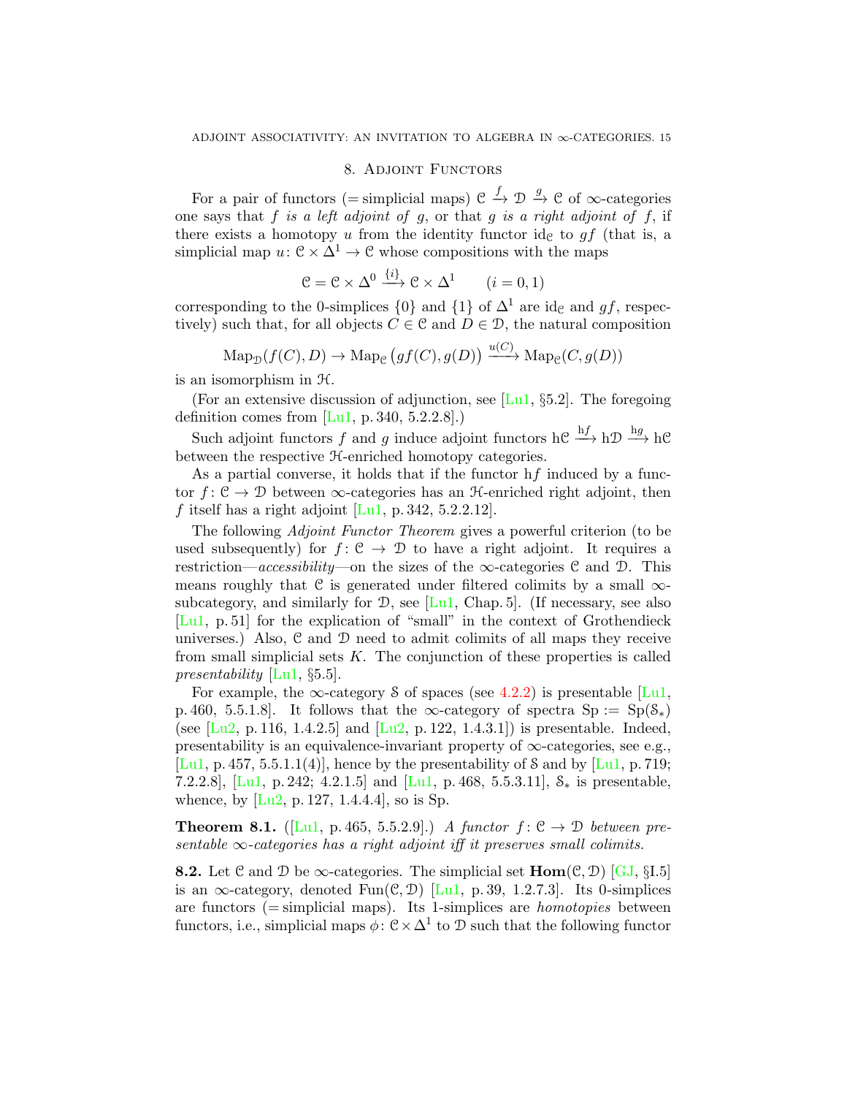## 8. Adjoint Functors

<span id="page-14-3"></span><span id="page-14-0"></span>For a pair of functors (= simplicial maps)  $\mathcal{C} \xrightarrow{f} \mathcal{D} \xrightarrow{g} \mathcal{C}$  of  $\infty$ -categories one says that  $f$  is a left adjoint of  $g$ , or that  $g$  is a right adjoint of  $f$ , if there exists a homotopy u from the identity functor  $id_{\mathcal{C}}$  to  $gf$  (that is, a simplicial map  $u: \mathbb{C} \times \Delta^1 \to \mathbb{C}$  whose compositions with the maps

$$
C = C \times \Delta^0 \xrightarrow{\{i\}} C \times \Delta^1 \qquad (i = 0, 1)
$$

corresponding to the 0-simplices  $\{0\}$  and  $\{1\}$  of  $\Delta^1$  are id<sub>c</sub> and gf, respectively) such that, for all objects  $C \in \mathcal{C}$  and  $D \in \mathcal{D}$ , the natural composition

$$
\mathrm{Map}_{\mathcal{D}}(f(C), D) \to \mathrm{Map}_{\mathcal{C}}(gf(C), g(D)) \xrightarrow{u(C)} \mathrm{Map}_{\mathcal{C}}(C, g(D))
$$

is an isomorphism in H.

(For an extensive discussion of adjunction, see [\[Lu1,](#page-22-9)  $\S 5.2$ ]. The foregoing definition comes from  $[Lul, p. 340, 5.2.2.8]$ .

Such adjoint functors f and g induce adjoint functors hC  $\xrightarrow{hf}$  hD  $\xrightarrow{hg}$  hC between the respective H-enriched homotopy categories.

As a partial converse, it holds that if the functor hf induced by a functor  $f: \mathcal{C} \to \mathcal{D}$  between  $\infty$ -categories has an  $\mathcal{H}$ -enriched right adjoint, then f itself has a right adjoint  $[Lu1, p. 342, 5.2.2.12]$  $[Lu1, p. 342, 5.2.2.12]$ .

The following Adjoint Functor Theorem gives a powerful criterion (to be used subsequently) for  $f: \mathcal{C} \to \mathcal{D}$  to have a right adjoint. It requires a restriction—accessibility—on the sizes of the  $\infty$ -categories C and D. This means roughly that  $C$  is generated under filtered colimits by a small  $\infty$ subcategory, and similarly for  $\mathcal{D}$ , see [\[Lu1,](#page-22-9) Chap. 5]. (If necessary, see also [\[Lu1,](#page-22-9) p. 51] for the explication of "small" in the context of Grothendieck universes.) Also,  $C$  and  $D$  need to admit colimits of all maps they receive from small simplicial sets  $K$ . The conjunction of these properties is called presentability  $[Lu1, \S5.5]$  $[Lu1, \S5.5]$ .

For example, the  $\infty$ -category S of spaces (see [4.2.2\)](#page-6-2) is presentable [\[Lu1,](#page-22-9) p. 460, 5.5.1.8]. It follows that the  $\infty$ -category of spectra  $Sp := Sp(S_*)$ (see  $[Lu2, p. 116, 1.4.2.5]$  $[Lu2, p. 116, 1.4.2.5]$  and  $[Lu2, p. 122, 1.4.3.1]$ ) is presentable. Indeed, presentability is an equivalence-invariant property of  $\infty$ -categories, see e.g., [\[Lu1,](#page-22-9) p. 457, 5.5.1.1(4)], hence by the presentability of S and by [Lu1, p. 719; 7.2.2.8], [\[Lu1,](#page-22-9) p. 242; 4.2.1.5] and [Lu1, p. 468, 5.5.3.11],  $S_*$  is presentable, whence, by  $[Lu2, p. 127, 1.4.4.4]$  $[Lu2, p. 127, 1.4.4.4]$ , so is Sp.

<span id="page-14-2"></span>**Theorem 8.1.** ([\[Lu1,](#page-22-9) p. 465, 5.5.2.9].) A functor  $f: \mathcal{C} \to \mathcal{D}$  between presentable  $\infty$ -categories has a right adjoint iff it preserves small colimits.

<span id="page-14-1"></span>**8.2.** Let C and D be  $\infty$ -categories. The simplicial set  $\text{Hom}(\mathcal{C}, \mathcal{D})$  [\[GJ,](#page-22-11) §I.5] is an  $\infty$ -category, denoted Fun(C, D) [\[Lu1,](#page-22-9) p. 39, 1.2.7.3]. Its 0-simplices are functors  $(=\text{simplicial maps})$ . Its 1-simplices are *homotopies* between functors, i.e., simplicial maps  $\phi: \mathbb{C} \times \Delta^1$  to D such that the following functor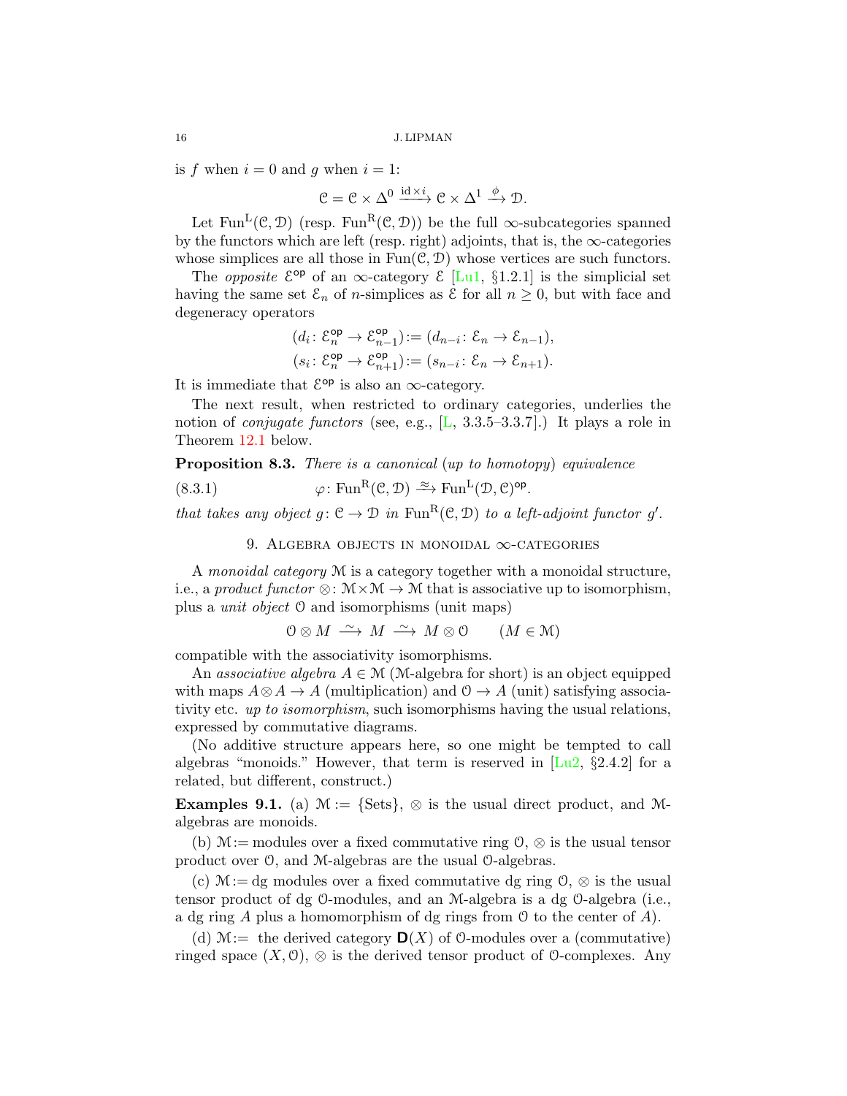is f when  $i = 0$  and q when  $i = 1$ :

$$
\mathcal{C}=\mathcal{C}\times\Delta^0\xrightarrow{\mathrm{id}\times i}\mathcal{C}\times\Delta^1\xrightarrow{\phi}\mathcal{D}.
$$

Let Fun<sup>L</sup>(C, D) (resp. Fun<sup>R</sup>(C, D)) be the full  $\infty$ -subcategories spanned by the functors which are left (resp. right) adjoints, that is, the  $\infty$ -categories whose simplices are all those in  $Fun(\mathcal{C}, \mathcal{D})$  whose vertices are such functors.

The *opposite*  $\mathcal{E}^{\text{op}}$  of an  $\infty$ -category  $\mathcal{E}$  [\[Lu1,](#page-22-9) §1.2.1] is the simplicial set having the same set  $\mathcal{E}_n$  of *n*-simplices as  $\mathcal E$  for all  $n \geq 0$ , but with face and degeneracy operators

$$
\begin{aligned} &(d_i\colon \mathcal{E}_n^{\mathsf{op}} \to \mathcal{E}_{n-1}^{\mathsf{op}}) \coloneqq (d_{n-i}\colon \mathcal{E}_n \to \mathcal{E}_{n-1}),\\ &(s_i\colon \mathcal{E}_n^{\mathsf{op}} \to \mathcal{E}_{n+1}^{\mathsf{op}}) \coloneqq (s_{n-i}\colon \mathcal{E}_n \to \mathcal{E}_{n+1}). \end{aligned}
$$

It is immediate that  $\mathcal{E}^{\mathsf{op}}$  is also an  $\infty$ -category.

The next result, when restricted to ordinary categories, underlies the notion of *conjugate functors* (see, e.g.,  $[L, 3.3.5–3.3.7]$  $[L, 3.3.5–3.3.7]$ .) It plays a role in Theorem [12.1](#page-20-2) below.

<span id="page-15-3"></span>Proposition 8.3. There is a canonical (up to homotopy) equivalence

(8.3.1) 
$$
\varphi \colon \text{Fun}^{\mathbf{R}}(\mathcal{C}, \mathcal{D}) \xrightarrow{\approx} \text{Fun}^{\mathbf{L}}(\mathcal{D}, \mathcal{C})^{\text{op}}.
$$

that takes any object  $g: \mathcal{C} \to \mathcal{D}$  in  $\text{Fun}^R(\mathcal{C}, \mathcal{D})$  to a left-adjoint functor g'.

<span id="page-15-2"></span>9. ALGEBRA OBJECTS IN MONOIDAL  $\infty$ -CATEGORIES

<span id="page-15-0"></span>A monoidal category M is a category together with a monoidal structure, i.e., a product functor  $\otimes: \mathcal{M} \times \mathcal{M} \to \mathcal{M}$  that is associative up to isomorphism, plus a unit object O and isomorphisms (unit maps)

$$
0 \otimes M \xrightarrow{\sim} M \xrightarrow{\sim} M \otimes 0 \qquad (M \in \mathcal{M})
$$

compatible with the associativity isomorphisms.

An associative algebra  $A \in \mathcal{M}$  (M-algebra for short) is an object equipped with maps  $A \otimes A \to A$  (multiplication) and  $\mathcal{O} \to A$  (unit) satisfying associativity etc. up to isomorphism, such isomorphisms having the usual relations, expressed by commutative diagrams.

(No additive structure appears here, so one might be tempted to call algebras "monoids." However, that term is reserved in  $\left[\text{Lu2}, \, \S2.4.2\right]$  for a related, but different, construct.)

<span id="page-15-1"></span>**Examples 9.1.** (a)  $\mathcal{M} := \{Sets\}, \otimes$  is the usual direct product, and  $\mathcal{M}$ algebras are monoids.

(b)  $M:=$  modules over a fixed commutative ring  $\mathcal{O}, \otimes$  is the usual tensor product over O, and M-algebras are the usual O-algebras.

(c)  $M := dg$  modules over a fixed commutative dg ring  $\mathcal{O}, \otimes$  is the usual tensor product of dg O-modules, and an M-algebra is a dg O-algebra (i.e., a dg ring A plus a homomorphism of dg rings from  $\mathcal O$  to the center of A).

(d)  $\mathcal{M}:=$  the derived category  $\mathbf{D}(X)$  of 0-modules over a (commutative) ringed space  $(X, 0)$ ,  $\otimes$  is the derived tensor product of 0-complexes. Any

<span id="page-15-4"></span>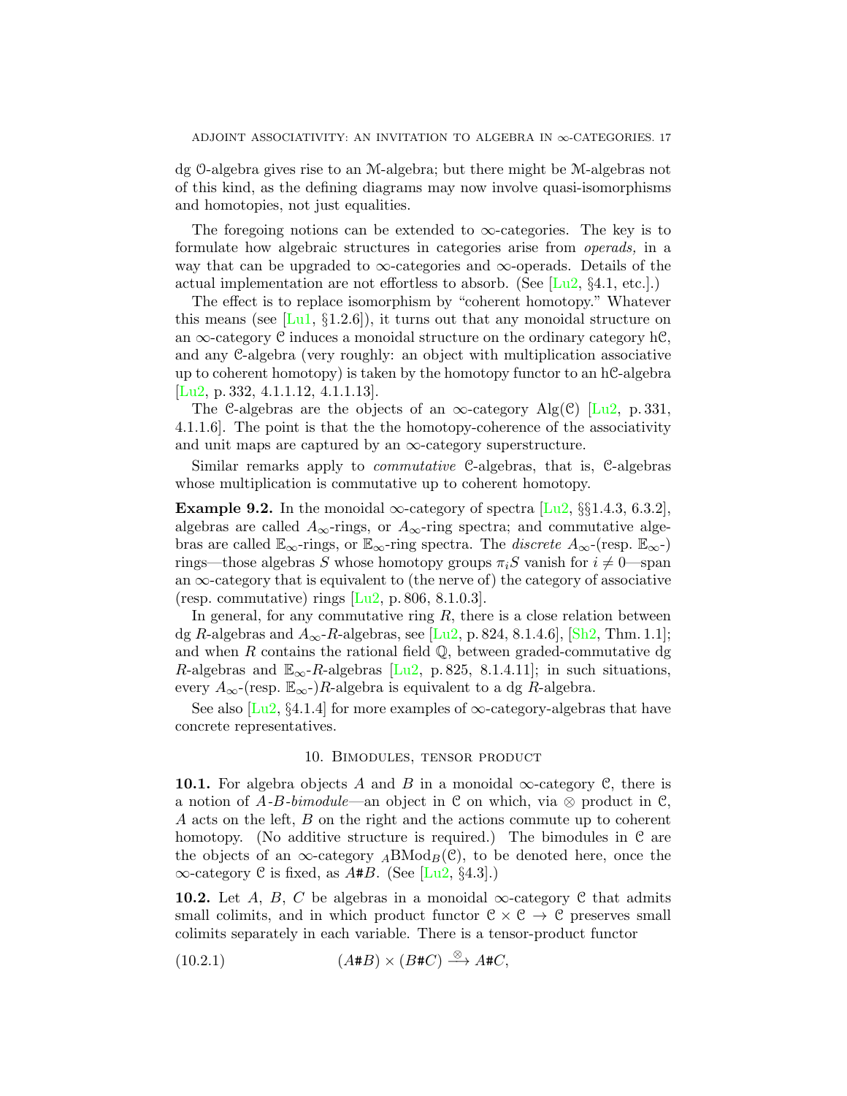<span id="page-16-3"></span>dg O-algebra gives rise to an M-algebra; but there might be M-algebras not of this kind, as the defining diagrams may now involve quasi-isomorphisms and homotopies, not just equalities.

The foregoing notions can be extended to  $\infty$ -categories. The key is to formulate how algebraic structures in categories arise from operads, in a way that can be upgraded to  $\infty$ -categories and  $\infty$ -operads. Details of the actual implementation are not effortless to absorb. (See  $[L_1, \S_4, \S_4, \S_5]$ .)

The effect is to replace isomorphism by "coherent homotopy." Whatever this means (see  $[Lu1, \S1.2.6]$  $[Lu1, \S1.2.6]$ ), it turns out that any monoidal structure on an  $\infty$ -category C induces a monoidal structure on the ordinary category hC, and any C-algebra (very roughly: an object with multiplication associative up to coherent homotopy) is taken by the homotopy functor to an  $hC$ -algebra [\[Lu2,](#page-22-10) p. 332, 4.1.1.12, 4.1.1.13].

The C-algebras are the objects of an  $\infty$ -category Alg(C) [\[Lu2,](#page-22-10) p. 331, 4.1.1.6]. The point is that the the homotopy-coherence of the associativity and unit maps are captured by an  $\infty$ -category superstructure.

Similar remarks apply to *commutative* C-algebras, that is, C-algebras whose multiplication is commutative up to coherent homotopy.

**Example 9.2.** In the monoidal  $\infty$ -category of spectra [\[Lu2,](#page-22-10) §§1.4.3, 6.3.2], algebras are called  $A_{\infty}$ -rings, or  $A_{\infty}$ -ring spectra; and commutative algebras are called  $\mathbb{E}_{\infty}$ -rings, or  $\mathbb{E}_{\infty}$ -ring spectra. The *discrete*  $A_{\infty}$ -(resp.  $\mathbb{E}_{\infty}$ -) rings—those algebras S whose homotopy groups  $\pi_i$ S vanish for  $i \neq 0$ —span an  $\infty$ -category that is equivalent to (the nerve of) the category of associative (resp. commutative) rings  $|Lu2, p. 806, 8.1.0.3|$ .

In general, for any commutative ring  $R$ , there is a close relation between dg R-algebras and  $A_{\infty}$ -R-algebras, see [\[Lu2,](#page-22-10) p. 824, 8.1.4.6], [\[Sh2,](#page-23-1) Thm. 1.1]; and when R contains the rational field  $\mathbb{Q}$ , between graded-commutative dg R-algebras and  $\mathbb{E}_{\infty}$ -R-algebras [\[Lu2,](#page-22-10) p. 825, 8.1.4.11]; in such situations, every  $A_{\infty}$ -(resp.  $\mathbb{E}_{\infty}$ -)R-algebra is equivalent to a dg R-algebra.

See also [\[Lu2,](#page-22-10) §4.1.4] for more examples of  $\infty$ -category-algebras that have concrete representatives.

## 10. Bimodules, tensor product

<span id="page-16-0"></span>10.1. For algebra objects A and B in a monoidal  $\infty$ -category C, there is a notion of A-B-bimodule—an object in C on which, via  $\otimes$  product in C, A acts on the left, B on the right and the actions commute up to coherent homotopy. (No additive structure is required.) The bimodules in  $\mathcal C$  are the objects of an  $\infty$ -category  $_A\text{BMod}_B(\mathcal{C})$ , to be denoted here, once the  $\infty$ -category C is fixed, as A#B. (See [\[Lu2,](#page-22-10) §4.3].)

<span id="page-16-2"></span>**10.2.** Let A, B, C be algebras in a monoidal  $\infty$ -category C that admits small colimits, and in which product functor  $C \times C \rightarrow C$  preserves small colimits separately in each variable. There is a tensor-product functor

<span id="page-16-1"></span>(10.2.1) 
$$
(A \# B) \times (B \# C) \xrightarrow{\otimes} A \# C,
$$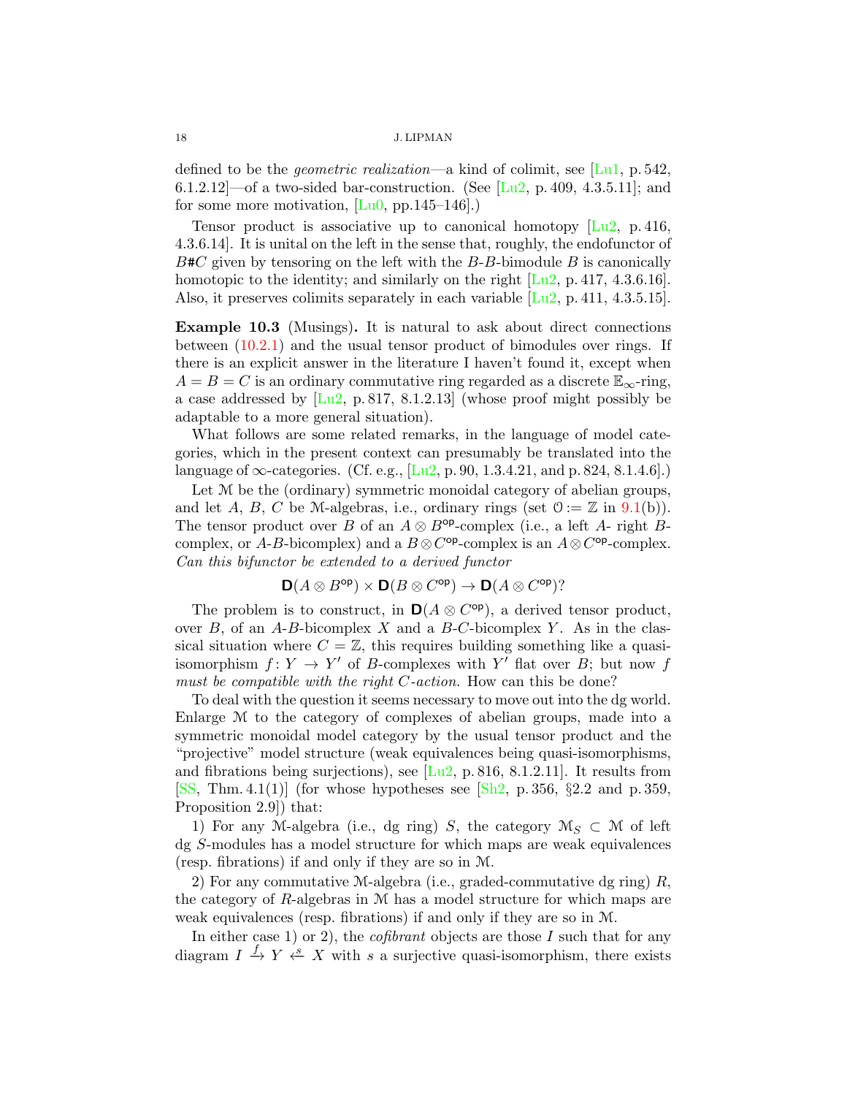<span id="page-17-1"></span>defined to be the *geometric realization*—a kind of colimit, see [\[Lu1,](#page-22-9) p. 542, 6.1.2.12]—of a two-sided bar-construction. (See [\[Lu2,](#page-22-10) p. 409, 4.3.5.11]; and for some more motivation, [\[Lu0,](#page-22-13) pp.145–146].)

Tensor product is associative up to canonical homotopy  $\boxed{\text{Lu2}}$ , p. 416, 4.3.6.14]. It is unital on the left in the sense that, roughly, the endofunctor of  $B\#C$  given by tensoring on the left with the B-B-bimodule B is canonically homotopic to the identity; and similarly on the right  $[Lu2, p. 417, 4.3.6.16]$  $[Lu2, p. 417, 4.3.6.16]$ . Also, it preserves colimits separately in each variable  $[Lu2, p. 411, 4.3.5.15]$  $[Lu2, p. 411, 4.3.5.15]$ .

<span id="page-17-0"></span>Example 10.3 (Musings). It is natural to ask about direct connections between [\(10.2.1\)](#page-16-1) and the usual tensor product of bimodules over rings. If there is an explicit answer in the literature I haven't found it, except when  $A = B = C$  is an ordinary commutative ring regarded as a discrete  $\mathbb{E}_{\infty}$ -ring, a case addressed by  $[Lu2, p. 817, 8.1.2.13]$  $[Lu2, p. 817, 8.1.2.13]$  (whose proof might possibly be adaptable to a more general situation).

What follows are some related remarks, in the language of model categories, which in the present context can presumably be translated into the language of  $\infty$ -categories. (Cf. e.g., [\[Lu2,](#page-22-10) p. 90, 1.3.4.21, and p. 824, 8.1.4.6].)

Let M be the (ordinary) symmetric monoidal category of abelian groups, and let A, B, C be M-algebras, i.e., ordinary rings (set  $0 := \mathbb{Z}$  in  $(9.1(b))$  $(9.1(b))$  $(9.1(b))$ ). The tensor product over B of an  $A \otimes B^{\text{op}}$ -complex (i.e., a left A- right Bcomplex, or A-B-bicomplex) and a  $B \otimes C^{\text{op}}$ -complex is an  $A \otimes C^{\text{op}}$ -complex. Can this bifunctor be extended to a derived functor

$$
D(A \otimes B^{\text{op}}) \times D(B \otimes C^{\text{op}}) \to D(A \otimes C^{\text{op}})?
$$

The problem is to construct, in  $\mathbf{D}(A \otimes C^{\mathsf{op}})$ , a derived tensor product, over  $B$ , of an A-B-bicomplex X and a B-C-bicomplex Y. As in the classical situation where  $C = \mathbb{Z}$ , this requires building something like a quasiisomorphism  $f: Y \to Y'$  of B-complexes with Y' flat over B; but now f must be compatible with the right C-action. How can this be done?

To deal with the question it seems necessary to move out into the dg world. Enlarge M to the category of complexes of abelian groups, made into a symmetric monoidal model category by the usual tensor product and the "projective" model structure (weak equivalences being quasi-isomorphisms, and fibrations being surjections), see  $[Lu^2, p. 816, 8.1.2.11]$ . It results from [\[SS,](#page-23-2) Thm. 4.1(1)] (for whose hypotheses see [\[Sh2,](#page-23-1) p. 356,  $\S 2.2$  and p. 359, Proposition 2.9]) that:

1) For any M-algebra (i.e., dg ring) S, the category  $\mathcal{M}_S \subset \mathcal{M}$  of left dg S-modules has a model structure for which maps are weak equivalences (resp. fibrations) if and only if they are so in M.

2) For any commutative M-algebra (i.e., graded-commutative dg ring)  $R$ , the category of  $R$ -algebras in  $M$  has a model structure for which maps are weak equivalences (resp. fibrations) if and only if they are so in M.

In either case 1) or 2), the *cofibrant* objects are those  $I$  such that for any diagram  $I \stackrel{f}{\to} Y \stackrel{s}{\leftarrow} X$  with s a surjective quasi-isomorphism, there exists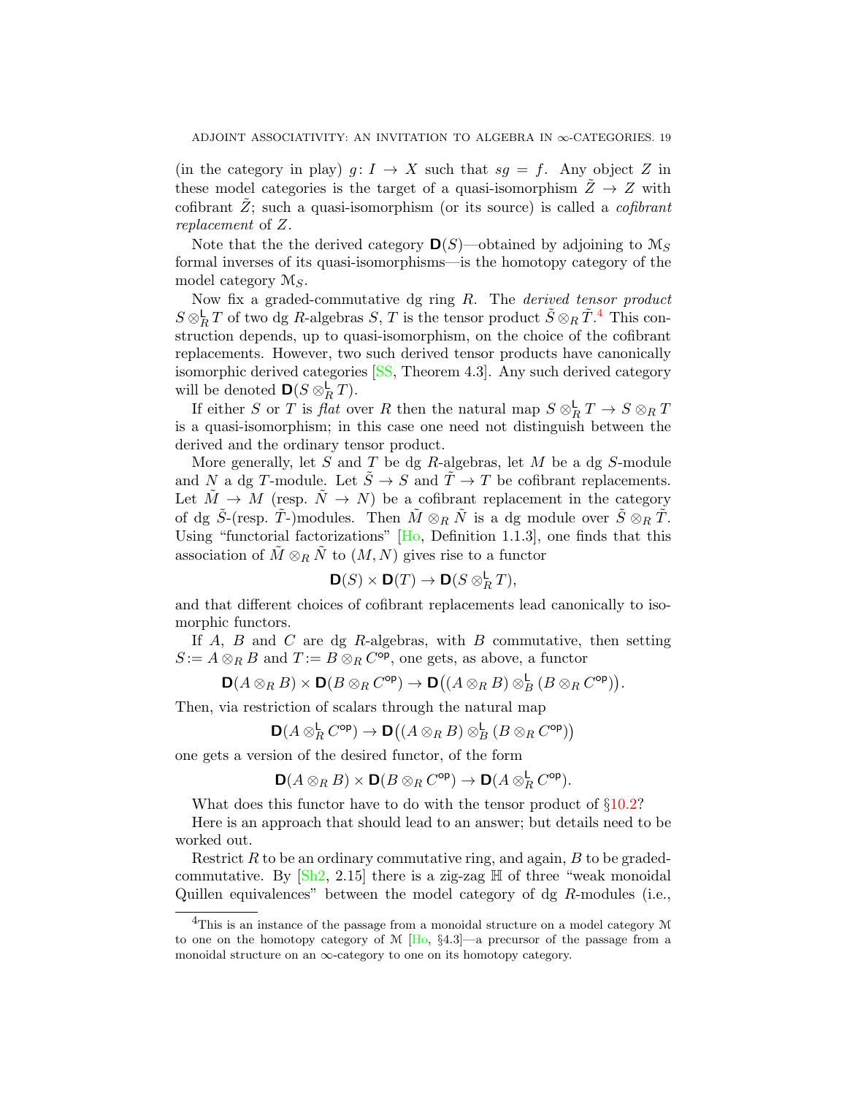<span id="page-18-1"></span>(in the category in play)  $g: I \to X$  such that  $sg = f$ . Any object Z in these model categories is the target of a quasi-isomorphism  $\tilde{Z} \rightarrow Z$  with cofibrant  $\tilde{Z}$ ; such a quasi-isomorphism (or its source) is called a *cofibrant* replacement of Z.

Note that the the derived category  $\mathbf{D}(S)$ —obtained by adjoining to  $\mathcal{M}_S$ formal inverses of its quasi-isomorphisms—is the homotopy category of the model category  $\mathcal{M}_S$ .

Now fix a graded-commutative dg ring R. The derived tensor product  $S \otimes_R^{\mathsf{L}} T$  of two dg R-algebras  $S, T$  is the tensor product  $\tilde{S} \otimes_R \tilde{T}^4$  $\tilde{S} \otimes_R \tilde{T}^4$ . This construction depends, up to quasi-isomorphism, on the choice of the cofibrant replacements. However, two such derived tensor products have canonically isomorphic derived categories [\[SS,](#page-23-2) Theorem 4.3]. Any such derived category will be denoted  $\mathbf{D}(S \otimes_R^{\mathsf{L}} T)$ .

If either S or T is flat over R then the natural map  $S \otimes_R^{\mathsf{L}} T \to S \otimes_R T$ is a quasi-isomorphism; in this case one need not distinguish between the derived and the ordinary tensor product.

More generally, let  $S$  and  $T$  be dg  $R$ -algebras, let  $M$  be a dg  $S$ -module and N a dg T-module. Let  $\tilde{S} \to S$  and  $\tilde{T} \to T$  be cofibrant replacements. Let  $\tilde{M} \to M$  (resp.  $\tilde{N} \to N$ ) be a cofibrant replacement in the category of dg  $\tilde{S}$ -(resp.  $\tilde{T}$ -)modules. Then  $\tilde{M} \otimes_R \tilde{N}$  is a dg module over  $\tilde{S} \otimes_R \tilde{T}$ . Using "functorial factorizations"  $[H<sub>0</sub>,$  Definition 1.1.3], one finds that this association of  $\tilde{M} \otimes_R \tilde{N}$  to  $(M, N)$  gives rise to a functor

$$
\mathbf{D}(S) \times \mathbf{D}(T) \to \mathbf{D}(S \otimes_R^{\mathsf{L}} T),
$$

and that different choices of cofibrant replacements lead canonically to isomorphic functors.

If  $A$ ,  $B$  and  $C$  are dg  $R$ -algebras, with  $B$  commutative, then setting  $S := A \otimes_R B$  and  $T := B \otimes_R C^{\mathsf{op}}$ , one gets, as above, a functor

$$
\mathbf{D}(A\otimes_R B)\times\mathbf{D}(B\otimes_R C^{\mathrm{op}})\to\mathbf{D}\bigl((A\otimes_R B)\otimes_B^{\mathsf{L}} (B\otimes_R C^{\mathrm{op}})\bigr).
$$

Then, via restriction of scalars through the natural map

$$
\mathbf{D}(A\otimes_R^{\mathsf{L}} C^{\mathsf{op}})\to \mathbf{D}\bigl((A\otimes_R B)\otimes_B^{\mathsf{L}} (B\otimes_R C^{\mathsf{op}})\bigr)
$$

one gets a version of the desired functor, of the form

$$
\mathbf{D}(A\otimes_R B)\times \mathbf{D}(B\otimes_R C^{\mathsf{op}})\to \mathbf{D}(A\otimes_R^{\mathsf{L}} C^{\mathsf{op}}).
$$

What does this functor have to do with the tensor product of  $\S 10.2$ ?

Here is an approach that should lead to an answer; but details need to be worked out.

Restrict  $R$  to be an ordinary commutative ring, and again,  $B$  to be gradedcommutative. By  $\left[\text{Sh2}, 2.15\right]$  there is a zig-zag  $\mathbb{H}$  of three "weak monoidal Quillen equivalences" between the model category of dg R-modules (i.e.,

<span id="page-18-0"></span> ${}^{4}$ This is an instance of the passage from a monoidal structure on a model category M to one on the homotopy category of  $M$  [\[Ho,](#page-22-14) §4.3]—a precursor of the passage from a monoidal structure on an  $\infty$ -category to one on its homotopy category.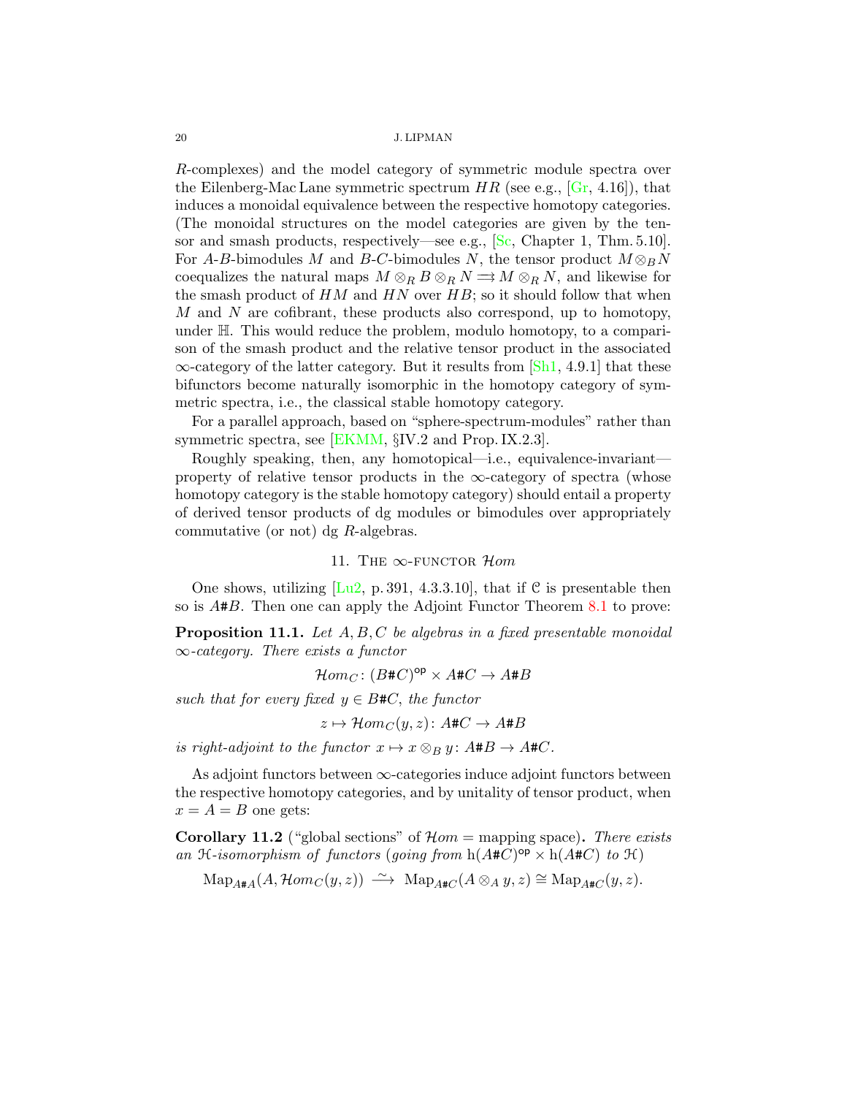<span id="page-19-3"></span>R-complexes) and the model category of symmetric module spectra over the Eilenberg-Mac Lane symmetric spectrum  $HR$  (see e.g.,  $[Gr, 4.16]$  $[Gr, 4.16]$ ), that induces a monoidal equivalence between the respective homotopy categories. (The monoidal structures on the model categories are given by the tensor and smash products, respectively—see e.g., [\[Sc,](#page-22-15) Chapter 1, Thm. 5.10]. For A-B-bimodules M and B-C-bimodules N, the tensor product  $M \otimes_B N$ coequalizes the natural maps  $M \otimes_R B \otimes_R N \Longrightarrow M \otimes_R N$ , and likewise for the smash product of  $HM$  and  $HN$  over  $HB$ ; so it should follow that when M and N are cofibrant, these products also correspond, up to homotopy, under H. This would reduce the problem, modulo homotopy, to a comparison of the smash product and the relative tensor product in the associated  $\infty$ -category of the latter category. But it results from [\[Sh1,](#page-22-16) 4.9.1] that these bifunctors become naturally isomorphic in the homotopy category of symmetric spectra, i.e., the classical stable homotopy category.

For a parallel approach, based on "sphere-spectrum-modules" rather than symmetric spectra, see [\[EKMM,](#page-22-17) §IV.2 and Prop. IX.2.3].

Roughly speaking, then, any homotopical—i.e., equivalence-invariant property of relative tensor products in the  $\infty$ -category of spectra (whose homotopy category is the stable homotopy category) should entail a property of derived tensor products of dg modules or bimodules over appropriately commutative (or not) dg R-algebras.

## 11. THE  $\infty$ -FUNCTOR Hom

<span id="page-19-0"></span>One shows, utilizing  $\lceil \text{Lu2}, \text{p. } 391, 4.3.3.10 \rceil$ , that if C is presentable then so is A#B. Then one can apply the Adjoint Functor Theorem [8.1](#page-14-2) to prove:

<span id="page-19-2"></span>**Proposition 11.1.** Let  $A, B, C$  be algebras in a fixed presentable monoidal  $\infty$ -category. There exists a functor

 $\mathcal{H}om_C \colon (B\#C)^{\mathsf{op}} \times A\#C \to A\#B$ 

such that for every fixed  $y \in B\#C$ , the functor

$$
z \mapsto \mathcal{H}om_C(y, z) \colon A \# C \to A \# B
$$

is right-adjoint to the functor  $x \mapsto x \otimes_B y$ :  $A \# B \to A \# C$ .

As adjoint functors between  $\infty$ -categories induce adjoint functors between the respective homotopy categories, and by unitality of tensor product, when  $x = A = B$  one gets:

<span id="page-19-1"></span>**Corollary 11.2** ("global sections" of  $\mathcal{H}om =$  mapping space). There exists an H-isomorphism of functors (going from  $h(A+C)^{op} \times h(A+C)$  to H)

 $\text{Map}_{A\#A}(A, \mathcal{H}om_C(y, z)) \longrightarrow \text{Map}_{A\#C}(A \otimes_A y, z) \cong \text{Map}_{A\#C}(y, z).$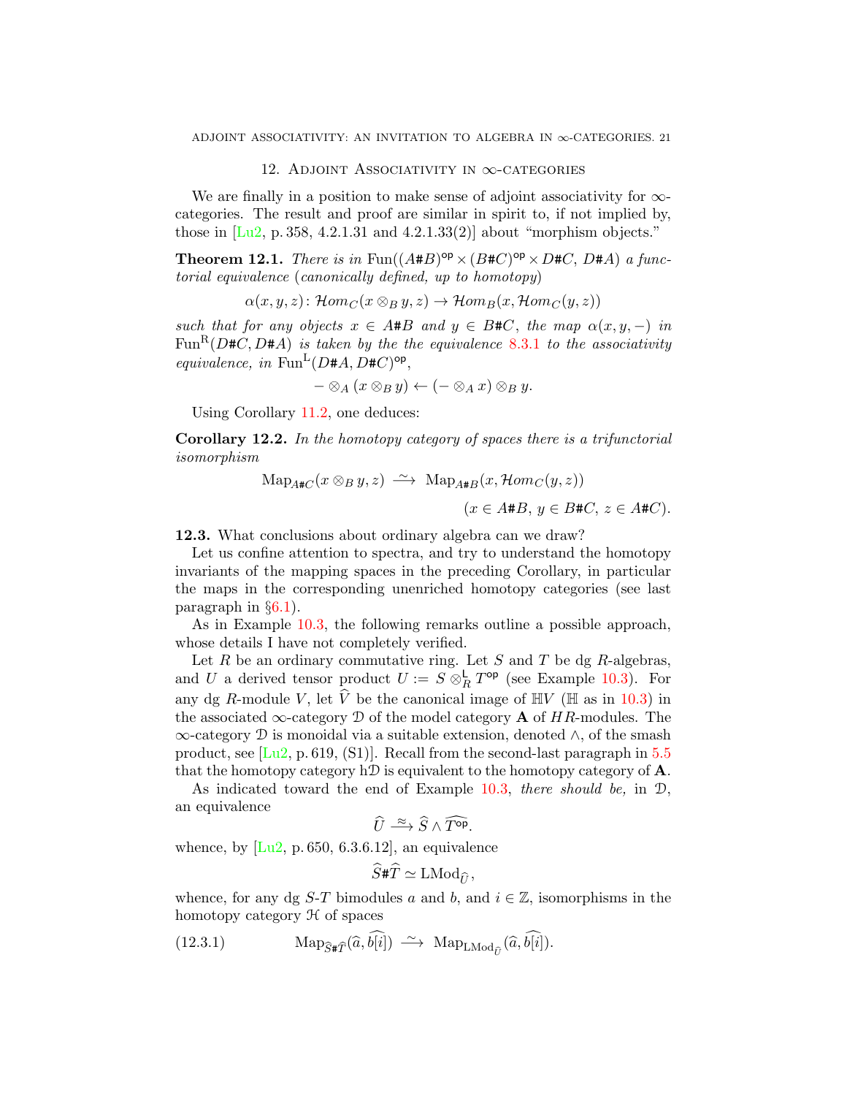## 12. Adjoint Associativity in ∞-categories

<span id="page-20-5"></span><span id="page-20-0"></span>We are finally in a position to make sense of adjoint associativity for  $\infty$ categories. The result and proof are similar in spirit to, if not implied by, those in  $[Lu2, p. 358, 4.2.1.31, and 4.2.1.33(2)]$  $[Lu2, p. 358, 4.2.1.31, and 4.2.1.33(2)]$  about "morphism objects."

<span id="page-20-2"></span>**Theorem 12.1.** There is in  $\text{Fun}((A \# B)^{\text{op}} \times (B \# C)^{\text{op}} \times D \# C, D \# A)$  a functorial equivalence (canonically defined, up to homotopy)

$$
\alpha(x, y, z) \colon \mathcal{H}om_C(x \otimes_B y, z) \to \mathcal{H}om_B(x, \mathcal{H}om_C(y, z))
$$

such that for any objects  $x \in A \# B$  and  $y \in B \# C$ , the map  $\alpha(x, y, -)$  in Fun<sup>R</sup>( $D#C$ ,  $D#A$ ) is taken by the the equivalence [8.3.1](#page-15-2) to the associativity equivalence, in  $\text{Fun}^{\mathbb{L}}(D \# A, D \# C)^{op}$ ,

$$
-\otimes_A (x\otimes_B y)\leftarrow (-\otimes_A x)\otimes_B y.
$$

Using Corollary [11.2,](#page-19-1) one deduces:

<span id="page-20-4"></span>Corollary 12.2. In the homotopy category of spaces there is a trifunctorial isomorphism

$$
\operatorname{Map}_{A\#C}(x \otimes_B y, z) \xrightarrow{\sim} \operatorname{Map}_{A\#B}(x, \mathcal{H}om_C(y, z))
$$

$$
(x \in A\#B, y \in B\#C, z \in A\#C).
$$

<span id="page-20-1"></span>12.3. What conclusions about ordinary algebra can we draw?

Let us confine attention to spectra, and try to understand the homotopy invariants of the mapping spaces in the preceding Corollary, in particular the maps in the corresponding unenriched homotopy categories (see last paragraph in  $\S6.1$ ).

As in Example [10.3,](#page-17-0) the following remarks outline a possible approach, whose details I have not completely verified.

Let  $R$  be an ordinary commutative ring. Let  $S$  and  $T$  be dg  $R$ -algebras, and U a derived tensor product  $U := S \otimes_R^{\mathsf{L}} T^{\mathsf{op}}$  (see Example [10.3\)](#page-17-0). For any dg R-module V, let  $\hat{V}$  be the canonical image of  $\mathbb{H}V$  ( $\mathbb{H}$  as in [10.3\)](#page-17-0) in the associated  $\infty$ -category  $\mathcal D$  of the model category **A** of HR-modules. The ∞-category D is monoidal via a suitable extension, denoted ∧, of the smash product, see  $[Lu2, p. 619, (S1)]$  $[Lu2, p. 619, (S1)]$ . Recall from the second-last paragraph in  $5.5$ that the homotopy category hD is equivalent to the homotopy category of  $\mathbf{A}$ .

As indicated toward the end of Example [10.3,](#page-17-0) there should be, in  $\mathcal{D}$ , an equivalence

$$
\widehat{U} \stackrel{\approx}{\longrightarrow} \widehat{S} \wedge \widehat{T^{\text{op}}}.
$$

whence, by  $[Lu2, p. 650, 6.3.6.12]$  $[Lu2, p. 650, 6.3.6.12]$ , an equivalence

<span id="page-20-3"></span>
$$
\widehat{S} \sharp \widehat{T} \simeq \operatorname{LMod}_{\widehat{U}},
$$

whence, for any dg S-T bimodules a and b, and  $i \in \mathbb{Z}$ , isomorphisms in the homotopy category  $\mathcal H$  of spaces

(12.3.1) 
$$
\text{Map}_{\widehat{S}\sharp \widehat{T}}(\widehat{a}, \widehat{b[i]}) \stackrel{\sim}{\longrightarrow} \text{Map}_{\text{LMod}_{\widehat{U}}}(\widehat{a}, \widehat{b[i]}).
$$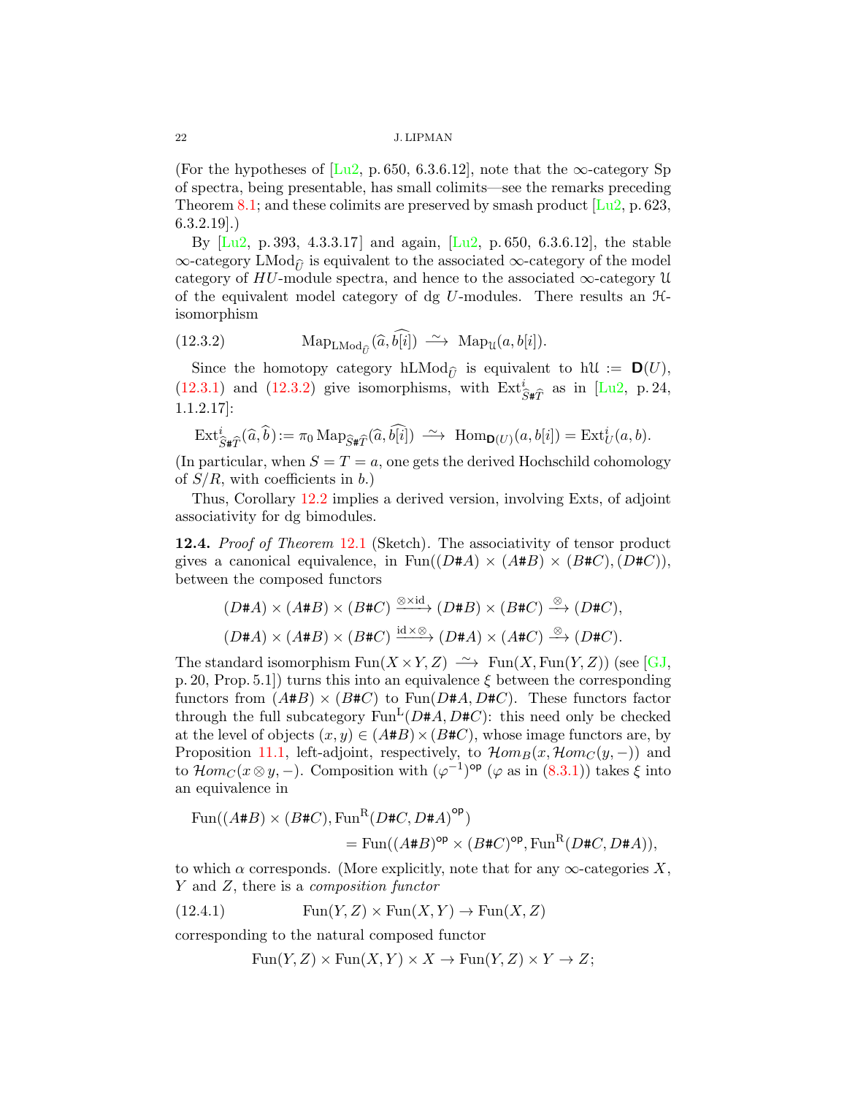(For the hypotheses of [\[Lu2,](#page-22-10) p. 650, 6.3.6.12], note that the  $\infty$ -category Sp of spectra, being presentable, has small colimits—see the remarks preceding Theorem [8.1;](#page-14-2) and these colimits are preserved by smash product  $[Lu2, p. 623,$  $[Lu2, p. 623,$  $6.3.2.19$ ].

By  $[Lu2, p. 393, 4.3.3.17]$  $[Lu2, p. 393, 4.3.3.17]$  and again,  $[Lu2, p. 650, 6.3.6.12]$ , the stable  $\infty$ -category LMod<sub> $\hat{\theta}$ </sub> is equivalent to the associated  $\infty$ -category of the model category of  $HU$ -module spectra, and hence to the associated  $\infty$ -category U of the equivalent model category of dg  $U$ -modules. There results an  $H$ isomorphism

<span id="page-21-1"></span>(12.3.2) Map<sub>LMod</sub><sub>$$
\hat{U}
$$</sub>  $(\hat{a}, \hat{b}[\hat{i}]) \xrightarrow{\sim} Map_{\mathcal{U}}(a, b[i]).$ 

Since the homotopy category hLMod<sub> $\hat{\mu}$ </sub> is equivalent to hU :=  $\mathbf{D}(U)$ ,  $(12.3.1)$  and  $(12.3.2)$  give isomorphisms, with  $Ext_6^i$  $\hat{S} \sharp \hat{T}$  as in [\[Lu2,](#page-22-10) p. 24, 1.1.2.17]:

$$
\text{Ext}^i_{\widehat{S}\# \widehat{T}}(\widehat{a},\widehat{b}) := \pi_0 \operatorname{Map}_{\widehat{S}\# \widehat{T}}(\widehat{a},\widehat{b[i]}) \stackrel{\sim}{\longrightarrow} \operatorname{Hom}_{\mathbf{D}(U)}(a,b[i]) = \operatorname{Ext}^i_U(a,b).
$$

(In particular, when  $S = T = a$ , one gets the derived Hochschild cohomology of  $S/R$ , with coefficients in b.)

Thus, Corollary [12.2](#page-20-4) implies a derived version, involving Exts, of adjoint associativity for dg bimodules.

12.4. *Proof of Theorem* [12.1](#page-20-2) (Sketch). The associativity of tensor product gives a canonical equivalence, in  $\text{Fun}((D \# A) \times (A \# B) \times (B \# C), (D \# C)),$ between the composed functors

$$
(D\#A) \times (A\#B) \times (B\#C) \xrightarrow{\otimes \times \mathrm{id}} (D\#B) \times (B\#C) \xrightarrow{\otimes} (D\#C),
$$
  

$$
(D\#A) \times (A\#B) \times (B\#C) \xrightarrow{\mathrm{id} \times \otimes} (D\#A) \times (A\#C) \xrightarrow{\otimes} (D\#C).
$$

The standard isomorphism Fun( $X \times Y, Z$ )  $\longrightarrow$  Fun(X, Fun(Y, Z)) (see [\[GJ,](#page-22-11) p. 20, Prop. 5.1.) turns this into an equivalence  $\xi$  between the corresponding functors from  $(A#B) \times (B#C)$  to Fun(D#A, D#C). These functors factor through the full subcategory  $\text{Fun}^{\mathbf{L}}(D \# A, D \# C)$ : this need only be checked at the level of objects  $(x, y) \in (A \# B) \times (B \# C)$ , whose image functors are, by Proposition [11.1,](#page-19-2) left-adjoint, respectively, to  $\mathcal{H}om_B(x, \mathcal{H}om_C(y, -))$  and to  $\mathcal{H}om_C(x\otimes y, -)$ . Composition with  $(\varphi^{-1})^{\mathsf{op}}$  ( $\varphi$  as in  $(8.3.1)$ ) takes  $\xi$  into an equivalence in

$$
\begin{aligned} \text{Fun}((A \# B) \times (B \# C), \text{Fun}^{\text{R}}(D \# C, D \# A)^{\text{op}}) \\ &= \text{Fun}((A \# B)^{\text{op}} \times (B \# C)^{\text{op}}, \text{Fun}^{\text{R}}(D \# C, D \# A)), \end{aligned}
$$

to which  $\alpha$  corresponds. (More explicitly, note that for any  $\infty$ -categories X, Y and Z, there is a composition functor

(12.4.1) Fun(Y, Z) × Fun(X, Y ) → Fun(X, Z)

corresponding to the natural composed functor

<span id="page-21-0"></span>
$$
Fun(Y,Z) \times Fun(X,Y) \times X \to Fun(Y,Z) \times Y \to Z;
$$

<span id="page-21-2"></span>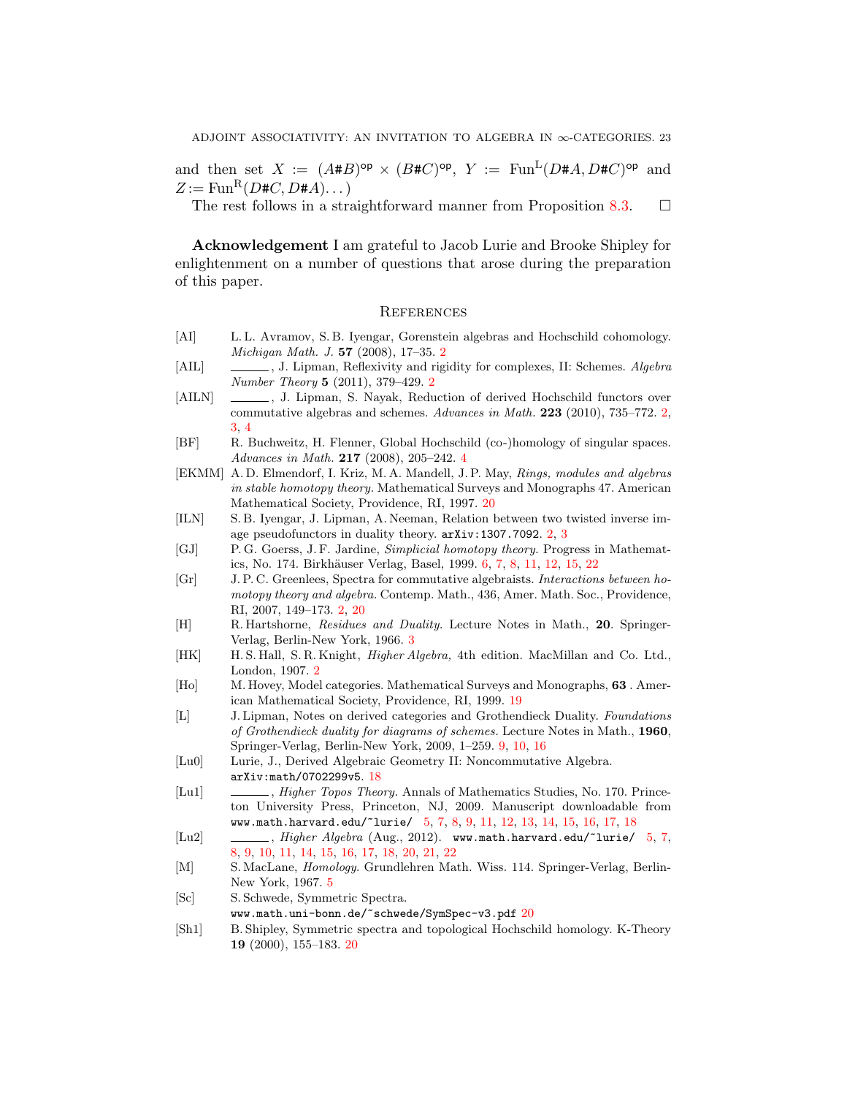and then set  $X := (A \# B)^{\mathsf{op}} \times (B \# C)^{\mathsf{op}}, Y := \text{Fun}^{\mathsf{L}}(D \# A, D \# C)^{\mathsf{op}}$  and  $Z := \text{Fun}^{\mathsf{R}}(D \# C, D \# A) \dots$ 

The rest follows in a straightforward manner from Proposition [8.3.](#page-15-3)  $\Box$ 

Acknowledgement I am grateful to Jacob Lurie and Brooke Shipley for enlightenment on a number of questions that arose during the preparation of this paper.

# **REFERENCES**

- <span id="page-22-0"></span>[AI] L. L. Avramov, S. B. Iyengar, Gorenstein algebras and Hochschild cohomology. Michigan Math. J. 57 (2008), 17–35. [2](#page-1-6)
- <span id="page-22-3"></span>[AIL] , J. Lipman, Reflexivity and rigidity for complexes, II: Schemes. Algebra Number Theory 5 (2011), 379–429. [2](#page-1-6)
- <span id="page-22-2"></span>[AILN]  $\quad \quad \quad \quad \quad \quad \quad$ , J. Lipman, S. Nayak, Reduction of derived Hochschild functors over commutative algebras and schemes. Advances in Math. 223 (2010), 735–772. [2,](#page-1-6) [3,](#page-2-0) [4](#page-3-2)
- <span id="page-22-7"></span>[BF] R. Buchweitz, H. Flenner, Global Hochschild (co-)homology of singular spaces. Advances in Math. 217 (2008), 205–242. [4](#page-3-2)
- <span id="page-22-17"></span>[EKMM] A. D. Elmendorf, I. Kriz, M. A. Mandell, J. P. May, Rings, modules and algebras in stable homotopy theory. Mathematical Surveys and Monographs 47. American Mathematical Society, Providence, RI, 1997. [20](#page-19-3)
- <span id="page-22-4"></span>[ILN] S. B. Iyengar, J. Lipman, A. Neeman, Relation between two twisted inverse image pseudofunctors in duality theory. arXiv:1307.7092. [2,](#page-1-6) [3](#page-2-0)
- <span id="page-22-11"></span>[GJ] P. G. Goerss, J. F. Jardine, Simplicial homotopy theory. Progress in Mathemat-ics, No. 174. Birkhäuser Verlag, Basel, 1999. [6,](#page-5-0) [7,](#page-6-4) [8,](#page-7-2) [11,](#page-10-3) [12,](#page-11-1) [15,](#page-14-3) [22](#page-21-2)
- <span id="page-22-1"></span>[Gr] J. P. C. Greenlees, Spectra for commutative algebraists. Interactions between homotopy theory and algebra. Contemp. Math., 436, Amer. Math. Soc., Providence, RI, 2007, 149–173. [2,](#page-1-6) [20](#page-19-3)
- <span id="page-22-6"></span>[H] R. Hartshorne, Residues and Duality. Lecture Notes in Math., 20. Springer-Verlag, Berlin-New York, 1966. [3](#page-2-0)
- <span id="page-22-5"></span>[HK] H. S. Hall, S. R. Knight, *Higher Algebra*, 4th edition. MacMillan and Co. Ltd., London, 1907. [2](#page-1-6)
- <span id="page-22-14"></span>[Ho] M. Hovey, Model categories. Mathematical Surveys and Monographs, 63 . American Mathematical Society, Providence, RI, 1999. [19](#page-18-1)
- <span id="page-22-12"></span>[L] J. Lipman, Notes on derived categories and Grothendieck Duality. Foundations of Grothendieck duality for diagrams of schemes. Lecture Notes in Math., 1960, Springer-Verlag, Berlin-New York, 2009, 1–259. [9,](#page-8-3) [10,](#page-9-1) [16](#page-15-4)
- <span id="page-22-13"></span>[Lu0] Lurie, J., Derived Algebraic Geometry II: Noncommutative Algebra. arXiv:math/0702299v5. [18](#page-17-1)
- <span id="page-22-9"></span>[Lu1]  $\qquad \qquad \qquad \qquad$ , *Higher Topos Theory.* Annals of Mathematics Studies, No. 170. Princeton University Press, Princeton, NJ, 2009. Manuscript downloadable from www.math.harvard.edu/~lurie/ [5,](#page-4-4) [7,](#page-6-4) [8,](#page-7-2) [9,](#page-8-3) [11,](#page-10-3) [12,](#page-11-1) [13,](#page-12-1) [14,](#page-13-0) [15,](#page-14-3) [16,](#page-15-4) [17,](#page-16-3) [18](#page-17-1)
- <span id="page-22-10"></span>[Lu2] , Higher Algebra (Aug., 2012). www.math.harvard.edu/~lurie/ [5,](#page-4-4) [7,](#page-6-4) [8,](#page-7-2) [9,](#page-8-3) [10,](#page-9-1) [11,](#page-10-3) [14,](#page-13-0) [15,](#page-14-3) [16,](#page-15-4) [17,](#page-16-3) [18,](#page-17-1) [20,](#page-19-3) [21,](#page-20-5) [22](#page-21-2)
- <span id="page-22-8"></span>[M] S. MacLane, Homology. Grundlehren Math. Wiss. 114. Springer-Verlag, Berlin-New York, 1967. [5](#page-4-4)
- <span id="page-22-15"></span>[Sc] S. Schwede, Symmetric Spectra.
- www.math.uni-bonn.de/~schwede/SymSpec-v3.pdf [20](#page-19-3)
- <span id="page-22-16"></span>[Sh1] B. Shipley, Symmetric spectra and topological Hochschild homology. K-Theory 19 (2000), 155–183. [20](#page-19-3)